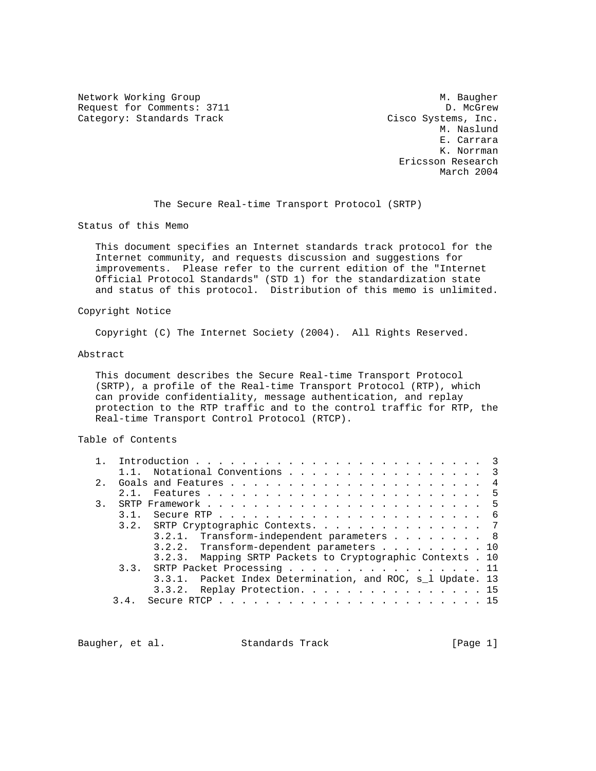Network Working Group Methods and Muslim Muslim Muslim Muslim Muslim Muslim Muslim Muslim Muslim Muslim Muslim Request for Comments: 3711 D. McGrew Category: Standards Track Cisco Systems, Inc.

 M. Naslund E. Carrara K. Norrman Ericsson Research March 2004

The Secure Real-time Transport Protocol (SRTP)

Status of this Memo

 This document specifies an Internet standards track protocol for the Internet community, and requests discussion and suggestions for improvements. Please refer to the current edition of the "Internet Official Protocol Standards" (STD 1) for the standardization state and status of this protocol. Distribution of this memo is unlimited.

#### Copyright Notice

Copyright (C) The Internet Society (2004). All Rights Reserved.

#### Abstract

 This document describes the Secure Real-time Transport Protocol (SRTP), a profile of the Real-time Transport Protocol (RTP), which can provide confidentiality, message authentication, and replay protection to the RTP traffic and to the control traffic for RTP, the Real-time Transport Control Protocol (RTCP).

# Table of Contents

|                | 1.1. Notational Conventions 3                                                                         |
|----------------|-------------------------------------------------------------------------------------------------------|
| 2 <sub>1</sub> |                                                                                                       |
|                | 2.1.                                                                                                  |
| 3.             |                                                                                                       |
|                | Secure RTP $\ldots$ $\ldots$ $\ldots$ $\ldots$ $\ldots$ $\ldots$ $\ldots$ $\ldots$ $\ldots$ 6<br>3.1. |
|                | 3.2. SRTP Cryptographic Contexts. 7                                                                   |
|                | 3.2.1. Transform-independent parameters 8                                                             |
|                | 3.2.2. Transform-dependent parameters 10                                                              |
|                | 3.2.3. Mapping SRTP Packets to Cryptographic Contexts . 10                                            |
|                | 3.3. SRTP Packet Processing 11                                                                        |
|                | 3.3.1. Packet Index Determination, and ROC, s 1 Update. 13                                            |
|                | 3.3.2. Replay Protection. 15                                                                          |
|                | 3.4.                                                                                                  |

Baugher, et al. Standards Track [Page 1]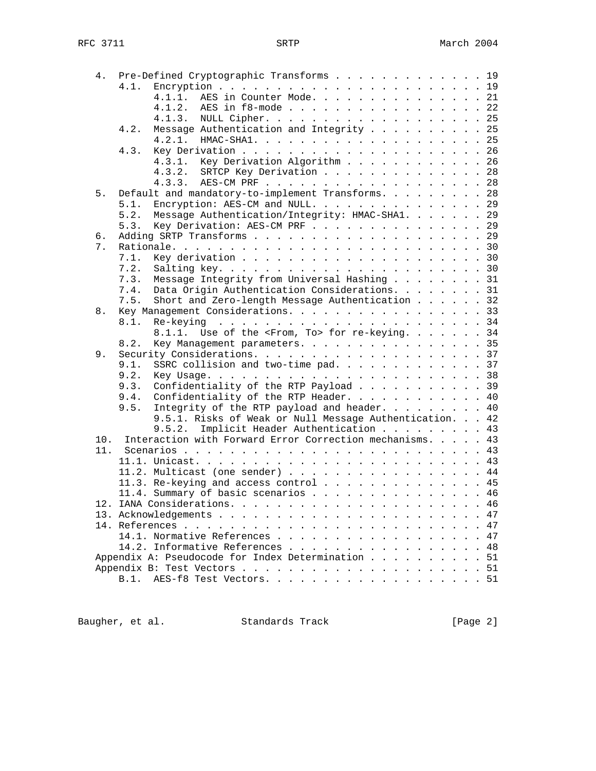| 4.  |      | Pre-Defined Cryptographic Transforms 19                   |
|-----|------|-----------------------------------------------------------|
|     |      |                                                           |
|     |      | AES in Counter Mode. 21<br>4.1.1.                         |
|     |      | AES in f8-mode 22<br>4.1.2.                               |
|     |      | NULL Cipher. 25<br>4.1.3.                                 |
|     | 4.2. | Message Authentication and Integrity 25                   |
|     |      |                                                           |
|     | 4.3. |                                                           |
|     |      | 4.3.1. Key Derivation Algorithm 26                        |
|     |      | SRTCP Key Derivation 28<br>4.3.2.                         |
|     |      | 4.3.3. AES-CM PRF 28                                      |
| 5.  |      | Default and mandatory-to-implement Transforms. 28         |
|     | 5.1. | Encryption: AES-CM and NULL. 29                           |
|     | 5.2. | Message Authentication/Integrity: HMAC-SHA1. 29           |
|     | 5.3. |                                                           |
|     |      | Key Derivation: AES-CM PRF 29                             |
| б.  |      |                                                           |
| 7.  |      |                                                           |
|     | 7.1. |                                                           |
|     | 7.2. |                                                           |
|     | 7.3. | Message Integrity from Universal Hashing 31               |
|     | 7.4. | Data Origin Authentication Considerations. 31             |
|     | 7.5. | Short and Zero-length Message Authentication 32           |
| 8.  |      | Key Management Considerations. 33                         |
|     | 8.1. |                                                           |
|     |      | 8.1.1. Use of the <from, to=""> for re-keying. 34</from,> |
|     | 8.2. | Key Management parameters. 35                             |
| 9.  |      |                                                           |
|     | 9.1. | SSRC collision and two-time pad. 37                       |
|     | 9.2. |                                                           |
|     | 9.3. | Confidentiality of the RTP Payload 39                     |
|     | 9.4. | Confidentiality of the RTP Header. 40                     |
|     | 9.5. | Integrity of the RTP payload and header. 40               |
|     |      | 9.5.1. Risks of Weak or Null Message Authentication. 42   |
|     |      | 9.5.2.<br>Implicit Header Authentication 43               |
| 10. |      | Interaction with Forward Error Correction mechanisms. 43  |
| 11. |      |                                                           |
|     |      |                                                           |
|     |      | 11.2. Multicast (one sender) 44                           |
|     |      | 11.3. Re-keying and access control 45                     |
|     |      | 11.4. Summary of basic scenarios 46                       |
|     |      |                                                           |
|     |      | 47                                                        |
|     |      |                                                           |
|     |      | 14.1. Normative References 47                             |
|     |      | 14.2. Informative References 48                           |
|     |      | Appendix A: Pseudocode for Index Determination 51         |
|     |      |                                                           |
|     |      | B.1. AES-f8 Test Vectors. 51                              |
|     |      |                                                           |

Baugher, et al. Standards Track [Page 2]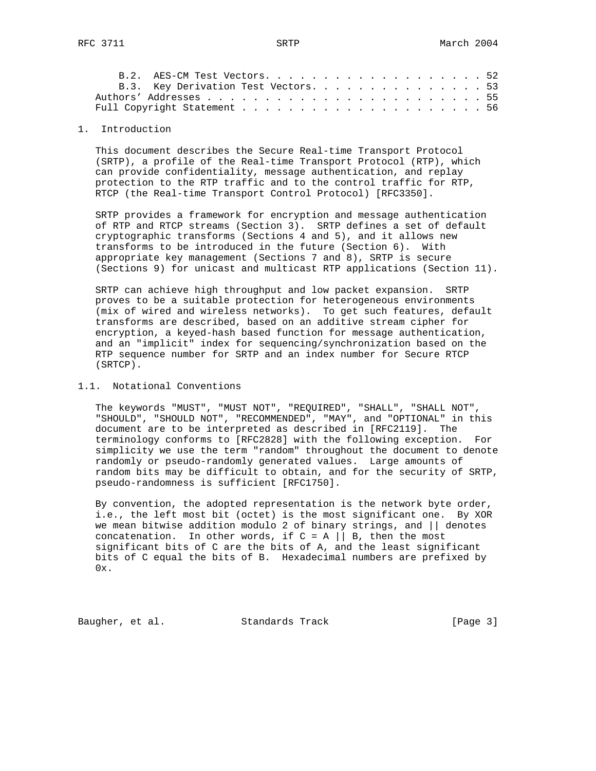| B.2. AES-CM Test Vectors52           |  |  |  |  |  |  |  |  |  |
|--------------------------------------|--|--|--|--|--|--|--|--|--|
| B.3. Key Derivation Test Vectors. 53 |  |  |  |  |  |  |  |  |  |
|                                      |  |  |  |  |  |  |  |  |  |
|                                      |  |  |  |  |  |  |  |  |  |

## 1. Introduction

 This document describes the Secure Real-time Transport Protocol (SRTP), a profile of the Real-time Transport Protocol (RTP), which can provide confidentiality, message authentication, and replay protection to the RTP traffic and to the control traffic for RTP, RTCP (the Real-time Transport Control Protocol) [RFC3350].

 SRTP provides a framework for encryption and message authentication of RTP and RTCP streams (Section 3). SRTP defines a set of default cryptographic transforms (Sections 4 and 5), and it allows new transforms to be introduced in the future (Section 6). With appropriate key management (Sections 7 and 8), SRTP is secure (Sections 9) for unicast and multicast RTP applications (Section 11).

 SRTP can achieve high throughput and low packet expansion. SRTP proves to be a suitable protection for heterogeneous environments (mix of wired and wireless networks). To get such features, default transforms are described, based on an additive stream cipher for encryption, a keyed-hash based function for message authentication, and an "implicit" index for sequencing/synchronization based on the RTP sequence number for SRTP and an index number for Secure RTCP (SRTCP).

#### 1.1. Notational Conventions

 The keywords "MUST", "MUST NOT", "REQUIRED", "SHALL", "SHALL NOT", "SHOULD", "SHOULD NOT", "RECOMMENDED", "MAY", and "OPTIONAL" in this document are to be interpreted as described in [RFC2119]. The terminology conforms to [RFC2828] with the following exception. For simplicity we use the term "random" throughout the document to denote randomly or pseudo-randomly generated values. Large amounts of random bits may be difficult to obtain, and for the security of SRTP, pseudo-randomness is sufficient [RFC1750].

 By convention, the adopted representation is the network byte order, i.e., the left most bit (octet) is the most significant one. By XOR we mean bitwise addition modulo 2 of binary strings, and || denotes concatenation. In other words, if  $C = A \mid B$ , then the most significant bits of C are the bits of A, and the least significant bits of C equal the bits of B. Hexadecimal numbers are prefixed by  $0x$ .

Baugher, et al. Standards Track [Page 3]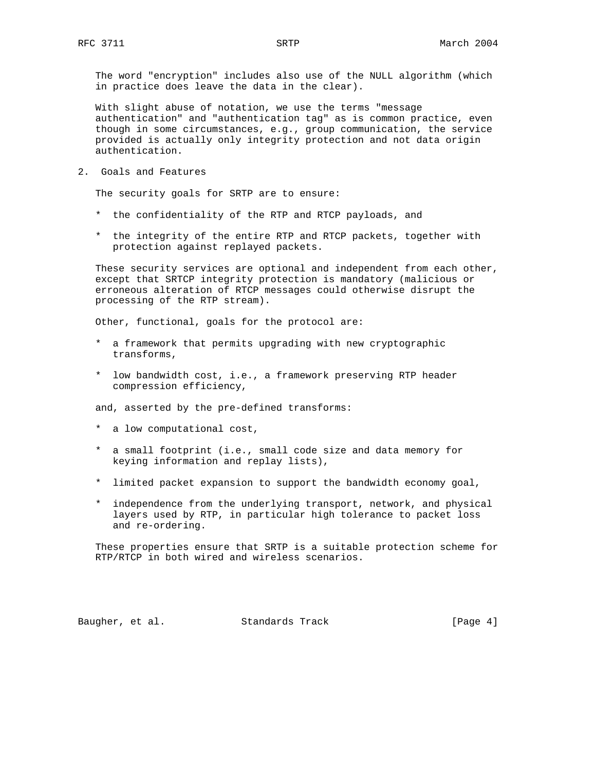The word "encryption" includes also use of the NULL algorithm (which in practice does leave the data in the clear).

 With slight abuse of notation, we use the terms "message authentication" and "authentication tag" as is common practice, even though in some circumstances, e.g., group communication, the service provided is actually only integrity protection and not data origin authentication.

2. Goals and Features

The security goals for SRTP are to ensure:

- \* the confidentiality of the RTP and RTCP payloads, and
- \* the integrity of the entire RTP and RTCP packets, together with protection against replayed packets.

 These security services are optional and independent from each other, except that SRTCP integrity protection is mandatory (malicious or erroneous alteration of RTCP messages could otherwise disrupt the processing of the RTP stream).

Other, functional, goals for the protocol are:

- \* a framework that permits upgrading with new cryptographic transforms,
- \* low bandwidth cost, i.e., a framework preserving RTP header compression efficiency,

and, asserted by the pre-defined transforms:

- \* a low computational cost,
- \* a small footprint (i.e., small code size and data memory for keying information and replay lists),
- \* limited packet expansion to support the bandwidth economy goal,
- \* independence from the underlying transport, network, and physical layers used by RTP, in particular high tolerance to packet loss and re-ordering.

 These properties ensure that SRTP is a suitable protection scheme for RTP/RTCP in both wired and wireless scenarios.

Baugher, et al. Standards Track [Page 4]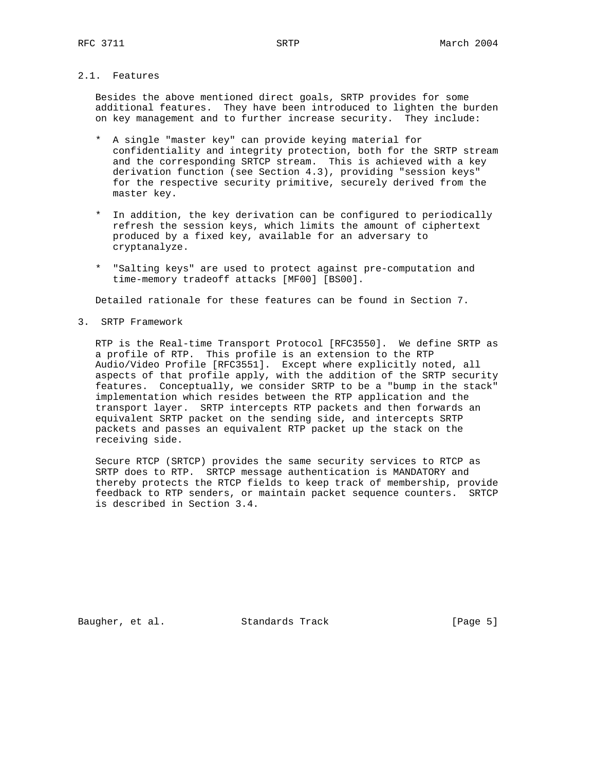# 2.1. Features

 Besides the above mentioned direct goals, SRTP provides for some additional features. They have been introduced to lighten the burden on key management and to further increase security. They include:

- \* A single "master key" can provide keying material for confidentiality and integrity protection, both for the SRTP stream and the corresponding SRTCP stream. This is achieved with a key derivation function (see Section 4.3), providing "session keys" for the respective security primitive, securely derived from the master key.
- \* In addition, the key derivation can be configured to periodically refresh the session keys, which limits the amount of ciphertext produced by a fixed key, available for an adversary to cryptanalyze.
- \* "Salting keys" are used to protect against pre-computation and time-memory tradeoff attacks [MF00] [BS00].

Detailed rationale for these features can be found in Section 7.

3. SRTP Framework

 RTP is the Real-time Transport Protocol [RFC3550]. We define SRTP as a profile of RTP. This profile is an extension to the RTP Audio/Video Profile [RFC3551]. Except where explicitly noted, all aspects of that profile apply, with the addition of the SRTP security features. Conceptually, we consider SRTP to be a "bump in the stack" implementation which resides between the RTP application and the transport layer. SRTP intercepts RTP packets and then forwards an equivalent SRTP packet on the sending side, and intercepts SRTP packets and passes an equivalent RTP packet up the stack on the receiving side.

 Secure RTCP (SRTCP) provides the same security services to RTCP as SRTP does to RTP. SRTCP message authentication is MANDATORY and thereby protects the RTCP fields to keep track of membership, provide feedback to RTP senders, or maintain packet sequence counters. SRTCP is described in Section 3.4.

Baugher, et al. Standards Track [Page 5]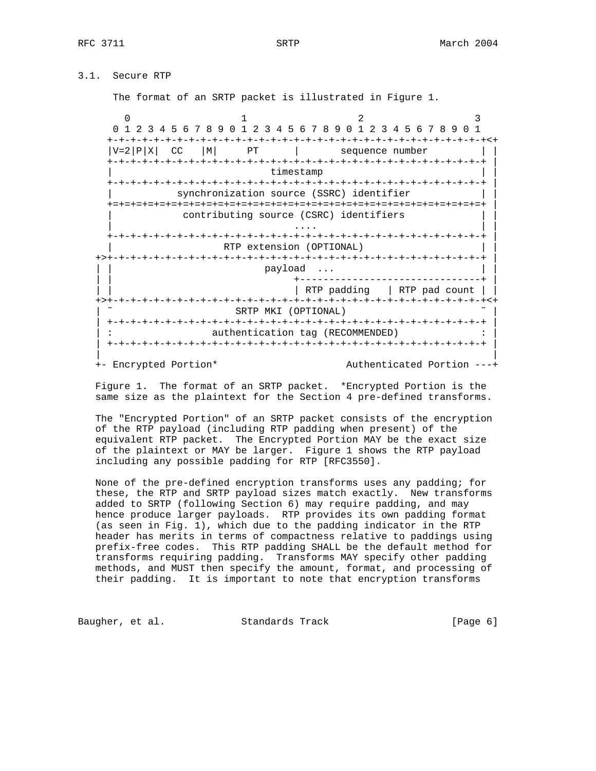# 3.1. Secure RTP

The format of an SRTP packet is illustrated in Figure 1.

 $0$  1 2 3 0 1 2 3 4 5 6 7 8 9 0 1 2 3 4 5 6 7 8 9 0 1 2 3 4 5 6 7 8 9 0 1 +-+-+-+-+-+-+-+-+-+-+-+-+-+-+-+-+-+-+-+-+-+-+-+-+-+-+-+-+-+-+-+-+<+  $|V=2|P|X|$  CC  $|M|$  PT | sequence number | | +-+-+-+-+-+-+-+-+-+-+-+-+-+-+-+-+-+-+-+-+-+-+-+-+-+-+-+-+-+-+-+-+ | timestamp +-+-+-+-+-+-+-+-+-+-+-+-+-+-+-+-+-+-+-+-+-+-+-+-+-+-+-+-+-+-+-+-+ | synchronization source (SSRC) identifier +=+=+=+=+=+=+=+=+=+=+=+=+=+=+=+=+=+=+=+=+=+=+=+=+=+=+=+=+=+=+=+=+ | contributing source (CSRC) identifiers | .... | .... | .... | .... | .... | .... | .... | .... | .... | .... | .... | .... | .... | .... | .... | ... +-+-+-+-+-+-+-+-+-+-+-+-+-+-+-+-+-+-+-+-+-+-+-+-+-+-+-+-+-+-+-+-+ | RTP extension (OPTIONAL) +>+-+-+-+-+-+-+-+-+-+-+-+-+-+-+-+-+-+-+-+-+-+-+-+-+-+-+-+-+-+-+-+-+ | payload ... | | +-------------------------------+ | | RTP padding | RTP pad count | +>+-+-+-+-+-+-+-+-+-+-+-+-+-+-+-+-+-+-+-+-+-+-+-+-+-+-+-+-+-+-+-+-+<+ SRTP MKI (OPTIONAL) | +-+-+-+-+-+-+-+-+-+-+-+-+-+-+-+-+-+-+-+-+-+-+-+-+-+-+-+-+-+-+-+-+ | : extending tag (RECOMMENDED) : in the matches of the authorities of the same state of the state of the state of the state of the state of the state of the state of the state of the state of the state of the state of the s | +-+-+-+-+-+-+-+-+-+-+-+-+-+-+-+-+-+-+-+-+-+-+-+-+-+-+-+-+-+-+-+-+ | | |

+- Encrypted Portion\* Authenticated Portion ---+

 Figure 1. The format of an SRTP packet. \*Encrypted Portion is the same size as the plaintext for the Section 4 pre-defined transforms.

 The "Encrypted Portion" of an SRTP packet consists of the encryption of the RTP payload (including RTP padding when present) of the equivalent RTP packet. The Encrypted Portion MAY be the exact size of the plaintext or MAY be larger. Figure 1 shows the RTP payload including any possible padding for RTP [RFC3550].

 None of the pre-defined encryption transforms uses any padding; for these, the RTP and SRTP payload sizes match exactly. New transforms added to SRTP (following Section 6) may require padding, and may hence produce larger payloads. RTP provides its own padding format (as seen in Fig. 1), which due to the padding indicator in the RTP header has merits in terms of compactness relative to paddings using prefix-free codes. This RTP padding SHALL be the default method for transforms requiring padding. Transforms MAY specify other padding methods, and MUST then specify the amount, format, and processing of their padding. It is important to note that encryption transforms

Baugher, et al. Standards Track [Page 6]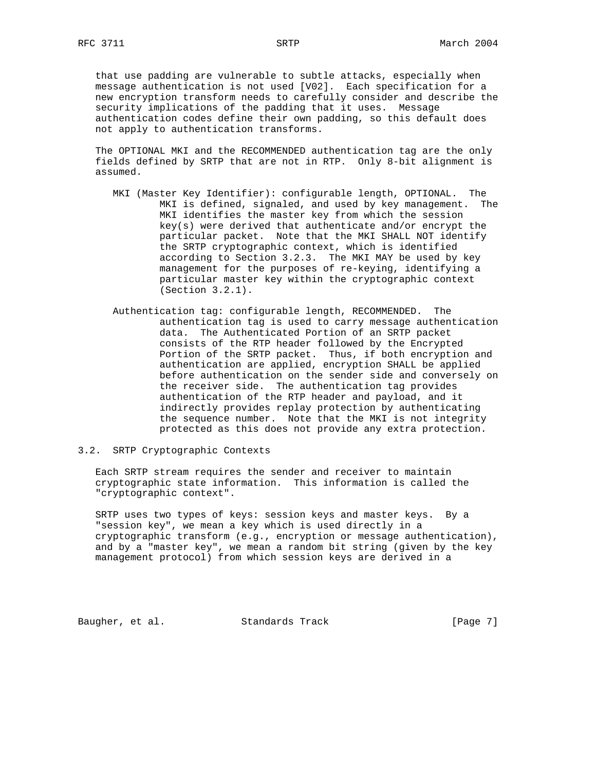that use padding are vulnerable to subtle attacks, especially when message authentication is not used [V02]. Each specification for a new encryption transform needs to carefully consider and describe the security implications of the padding that it uses. Message authentication codes define their own padding, so this default does not apply to authentication transforms.

 The OPTIONAL MKI and the RECOMMENDED authentication tag are the only fields defined by SRTP that are not in RTP. Only 8-bit alignment is assumed.

- MKI (Master Key Identifier): configurable length, OPTIONAL. The MKI is defined, signaled, and used by key management. The MKI identifies the master key from which the session key(s) were derived that authenticate and/or encrypt the particular packet. Note that the MKI SHALL NOT identify the SRTP cryptographic context, which is identified according to Section 3.2.3. The MKI MAY be used by key management for the purposes of re-keying, identifying a particular master key within the cryptographic context (Section 3.2.1).
- Authentication tag: configurable length, RECOMMENDED. The authentication tag is used to carry message authentication data. The Authenticated Portion of an SRTP packet consists of the RTP header followed by the Encrypted Portion of the SRTP packet. Thus, if both encryption and authentication are applied, encryption SHALL be applied before authentication on the sender side and conversely on the receiver side. The authentication tag provides authentication of the RTP header and payload, and it indirectly provides replay protection by authenticating the sequence number. Note that the MKI is not integrity protected as this does not provide any extra protection.

## 3.2. SRTP Cryptographic Contexts

 Each SRTP stream requires the sender and receiver to maintain cryptographic state information. This information is called the "cryptographic context".

 SRTP uses two types of keys: session keys and master keys. By a "session key", we mean a key which is used directly in a cryptographic transform (e.g., encryption or message authentication), and by a "master key", we mean a random bit string (given by the key management protocol) from which session keys are derived in a

Baugher, et al. Standards Track [Page 7]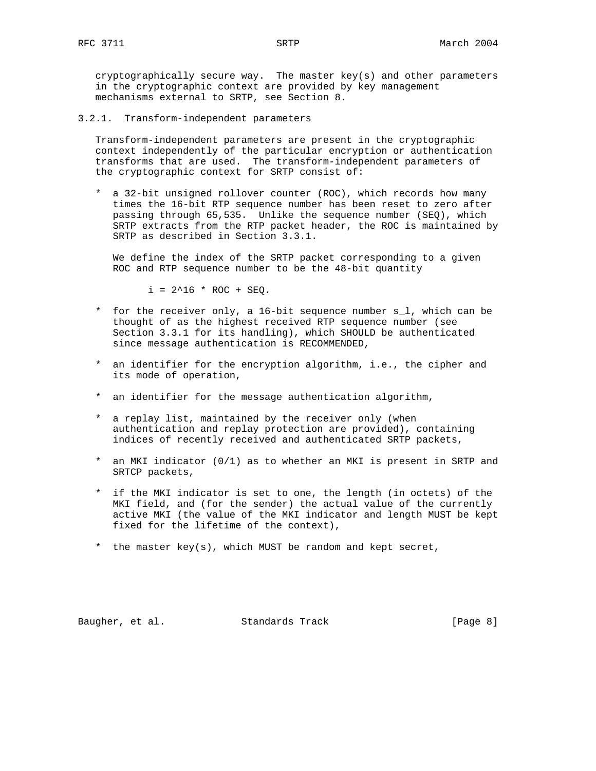3.2.1. Transform-independent parameters

 Transform-independent parameters are present in the cryptographic context independently of the particular encryption or authentication transforms that are used. The transform-independent parameters of the cryptographic context for SRTP consist of:

 \* a 32-bit unsigned rollover counter (ROC), which records how many times the 16-bit RTP sequence number has been reset to zero after passing through 65,535. Unlike the sequence number (SEQ), which SRTP extracts from the RTP packet header, the ROC is maintained by SRTP as described in Section 3.3.1.

 We define the index of the SRTP packet corresponding to a given ROC and RTP sequence number to be the 48-bit quantity

 $i = 2^16 * ROC + SEQ$ .

- \* for the receiver only, a 16-bit sequence number s\_l, which can be thought of as the highest received RTP sequence number (see Section 3.3.1 for its handling), which SHOULD be authenticated since message authentication is RECOMMENDED,
- \* an identifier for the encryption algorithm, i.e., the cipher and its mode of operation,
- \* an identifier for the message authentication algorithm,
- \* a replay list, maintained by the receiver only (when authentication and replay protection are provided), containing indices of recently received and authenticated SRTP packets,
- \* an MKI indicator (0/1) as to whether an MKI is present in SRTP and SRTCP packets,
- \* if the MKI indicator is set to one, the length (in octets) of the MKI field, and (for the sender) the actual value of the currently active MKI (the value of the MKI indicator and length MUST be kept fixed for the lifetime of the context),
- \* the master key(s), which MUST be random and kept secret,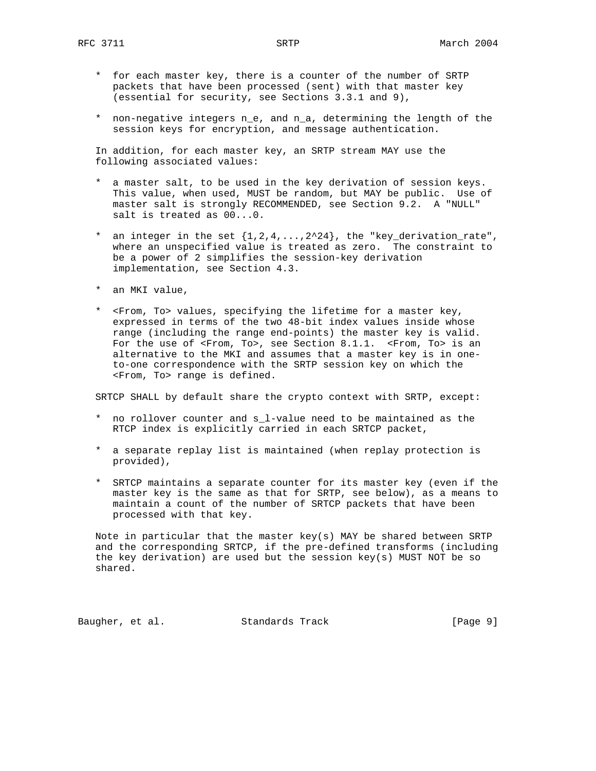- \* for each master key, there is a counter of the number of SRTP packets that have been processed (sent) with that master key (essential for security, see Sections 3.3.1 and 9),
- \* non-negative integers n\_e, and n\_a, determining the length of the session keys for encryption, and message authentication.

 In addition, for each master key, an SRTP stream MAY use the following associated values:

- \* a master salt, to be used in the key derivation of session keys. This value, when used, MUST be random, but MAY be public. Use of master salt is strongly RECOMMENDED, see Section 9.2. A "NULL" salt is treated as 00...0.
- \* an integer in the set  $\{1,2,4,\ldots,2^224\}$ , the "key\_derivation\_rate", where an unspecified value is treated as zero. The constraint to be a power of 2 simplifies the session-key derivation implementation, see Section 4.3.
- \* an MKI value,
- \* <From, To> values, specifying the lifetime for a master key, expressed in terms of the two 48-bit index values inside whose range (including the range end-points) the master key is valid. For the use of <From, To>, see Section 8.1.1. <From, To> is an alternative to the MKI and assumes that a master key is in one to-one correspondence with the SRTP session key on which the <From, To> range is defined.

SRTCP SHALL by default share the crypto context with SRTP, except:

- \* no rollover counter and s\_l-value need to be maintained as the RTCP index is explicitly carried in each SRTCP packet,
- \* a separate replay list is maintained (when replay protection is provided),
- \* SRTCP maintains a separate counter for its master key (even if the master key is the same as that for SRTP, see below), as a means to maintain a count of the number of SRTCP packets that have been processed with that key.

 Note in particular that the master key(s) MAY be shared between SRTP and the corresponding SRTCP, if the pre-defined transforms (including the key derivation) are used but the session key(s) MUST NOT be so shared.

Baugher, et al. Standards Track [Page 9]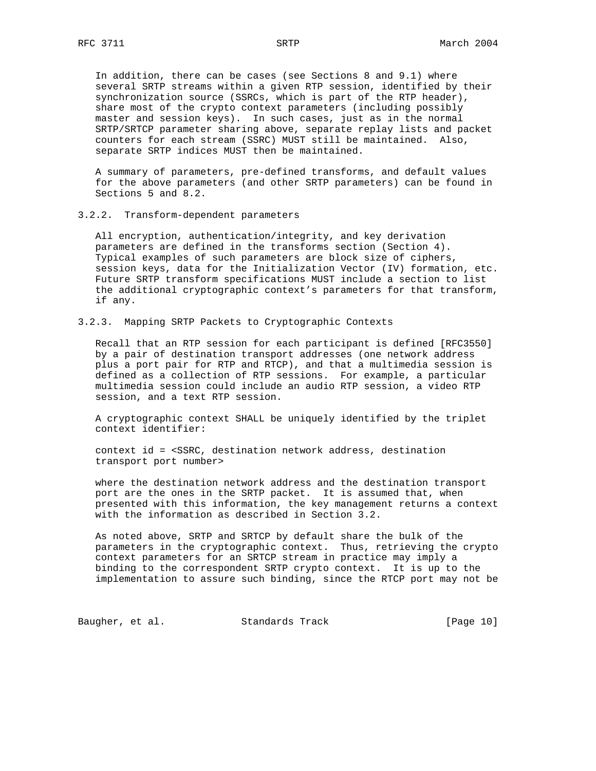In addition, there can be cases (see Sections 8 and 9.1) where several SRTP streams within a given RTP session, identified by their synchronization source (SSRCs, which is part of the RTP header), share most of the crypto context parameters (including possibly master and session keys). In such cases, just as in the normal SRTP/SRTCP parameter sharing above, separate replay lists and packet counters for each stream (SSRC) MUST still be maintained. Also, separate SRTP indices MUST then be maintained.

 A summary of parameters, pre-defined transforms, and default values for the above parameters (and other SRTP parameters) can be found in Sections 5 and 8.2.

3.2.2. Transform-dependent parameters

 All encryption, authentication/integrity, and key derivation parameters are defined in the transforms section (Section 4). Typical examples of such parameters are block size of ciphers, session keys, data for the Initialization Vector (IV) formation, etc. Future SRTP transform specifications MUST include a section to list the additional cryptographic context's parameters for that transform, if any.

3.2.3. Mapping SRTP Packets to Cryptographic Contexts

 Recall that an RTP session for each participant is defined [RFC3550] by a pair of destination transport addresses (one network address plus a port pair for RTP and RTCP), and that a multimedia session is defined as a collection of RTP sessions. For example, a particular multimedia session could include an audio RTP session, a video RTP session, and a text RTP session.

 A cryptographic context SHALL be uniquely identified by the triplet context identifier:

 context id = <SSRC, destination network address, destination transport port number>

 where the destination network address and the destination transport port are the ones in the SRTP packet. It is assumed that, when presented with this information, the key management returns a context with the information as described in Section 3.2.

 As noted above, SRTP and SRTCP by default share the bulk of the parameters in the cryptographic context. Thus, retrieving the crypto context parameters for an SRTCP stream in practice may imply a binding to the correspondent SRTP crypto context. It is up to the implementation to assure such binding, since the RTCP port may not be

Baugher, et al. Standards Track [Page 10]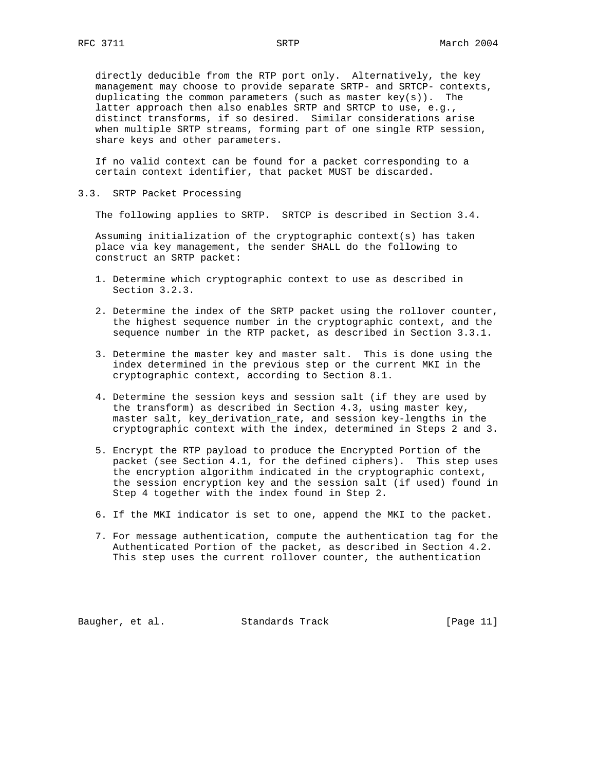directly deducible from the RTP port only. Alternatively, the key management may choose to provide separate SRTP- and SRTCP- contexts, duplicating the common parameters (such as master  $key(s)$ ). The latter approach then also enables SRTP and SRTCP to use, e.g., distinct transforms, if so desired. Similar considerations arise when multiple SRTP streams, forming part of one single RTP session, share keys and other parameters.

 If no valid context can be found for a packet corresponding to a certain context identifier, that packet MUST be discarded.

3.3. SRTP Packet Processing

The following applies to SRTP. SRTCP is described in Section 3.4.

 Assuming initialization of the cryptographic context(s) has taken place via key management, the sender SHALL do the following to construct an SRTP packet:

- 1. Determine which cryptographic context to use as described in Section 3.2.3.
- 2. Determine the index of the SRTP packet using the rollover counter, the highest sequence number in the cryptographic context, and the sequence number in the RTP packet, as described in Section 3.3.1.
- 3. Determine the master key and master salt. This is done using the index determined in the previous step or the current MKI in the cryptographic context, according to Section 8.1.
- 4. Determine the session keys and session salt (if they are used by the transform) as described in Section 4.3, using master key, master salt, key\_derivation\_rate, and session key-lengths in the cryptographic context with the index, determined in Steps 2 and 3.
- 5. Encrypt the RTP payload to produce the Encrypted Portion of the packet (see Section 4.1, for the defined ciphers). This step uses the encryption algorithm indicated in the cryptographic context, the session encryption key and the session salt (if used) found in Step 4 together with the index found in Step 2.
- 6. If the MKI indicator is set to one, append the MKI to the packet.
- 7. For message authentication, compute the authentication tag for the Authenticated Portion of the packet, as described in Section 4.2. This step uses the current rollover counter, the authentication

Baugher, et al. Standards Track [Page 11]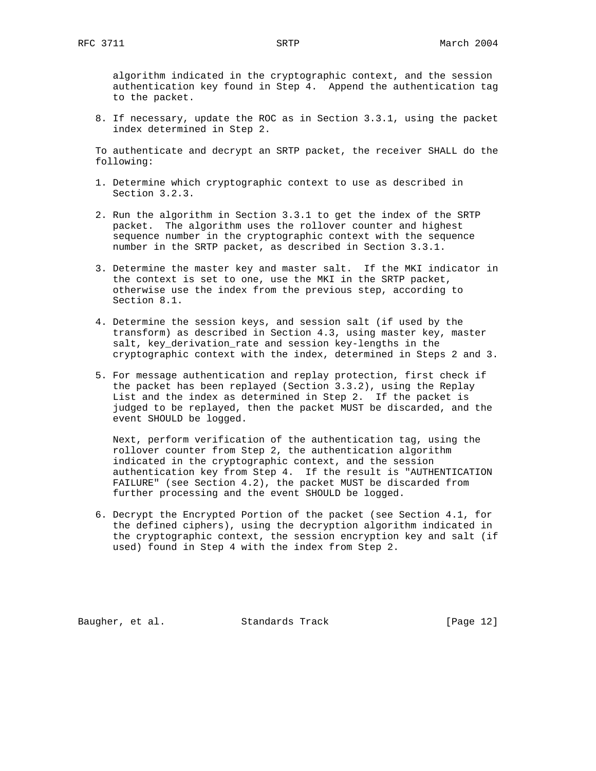algorithm indicated in the cryptographic context, and the session authentication key found in Step 4. Append the authentication tag to the packet.

 8. If necessary, update the ROC as in Section 3.3.1, using the packet index determined in Step 2.

 To authenticate and decrypt an SRTP packet, the receiver SHALL do the following:

- 1. Determine which cryptographic context to use as described in Section 3.2.3.
- 2. Run the algorithm in Section 3.3.1 to get the index of the SRTP packet. The algorithm uses the rollover counter and highest sequence number in the cryptographic context with the sequence number in the SRTP packet, as described in Section 3.3.1.
- 3. Determine the master key and master salt. If the MKI indicator in the context is set to one, use the MKI in the SRTP packet, otherwise use the index from the previous step, according to Section 8.1.
- 4. Determine the session keys, and session salt (if used by the transform) as described in Section 4.3, using master key, master salt, key\_derivation\_rate and session key-lengths in the cryptographic context with the index, determined in Steps 2 and 3.
- 5. For message authentication and replay protection, first check if the packet has been replayed (Section 3.3.2), using the Replay List and the index as determined in Step 2. If the packet is judged to be replayed, then the packet MUST be discarded, and the event SHOULD be logged.

 Next, perform verification of the authentication tag, using the rollover counter from Step 2, the authentication algorithm indicated in the cryptographic context, and the session authentication key from Step 4. If the result is "AUTHENTICATION FAILURE" (see Section 4.2), the packet MUST be discarded from further processing and the event SHOULD be logged.

 6. Decrypt the Encrypted Portion of the packet (see Section 4.1, for the defined ciphers), using the decryption algorithm indicated in the cryptographic context, the session encryption key and salt (if used) found in Step 4 with the index from Step 2.

Baugher, et al. Standards Track [Page 12]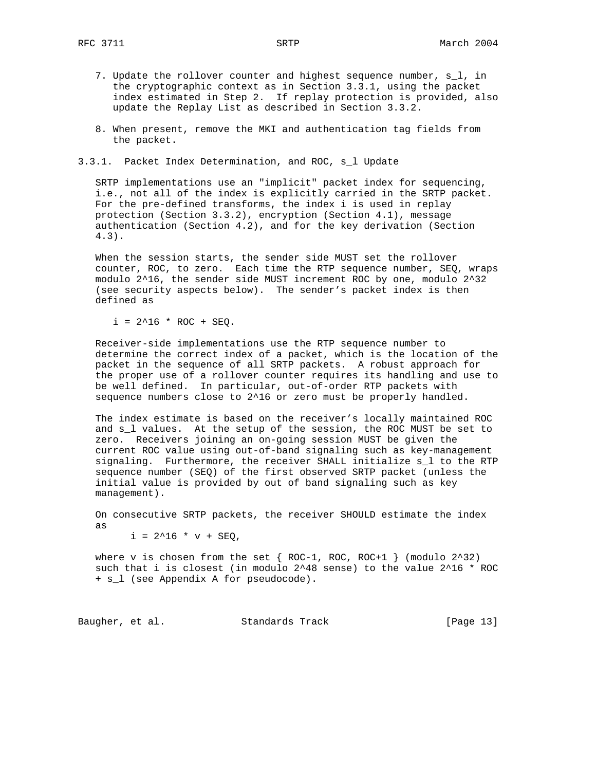- 7. Update the rollover counter and highest sequence number, s\_l, in the cryptographic context as in Section 3.3.1, using the packet index estimated in Step 2. If replay protection is provided, also update the Replay List as described in Section 3.3.2.
- 8. When present, remove the MKI and authentication tag fields from the packet.

3.3.1. Packet Index Determination, and ROC, s\_l Update

 SRTP implementations use an "implicit" packet index for sequencing, i.e., not all of the index is explicitly carried in the SRTP packet. For the pre-defined transforms, the index i is used in replay protection (Section 3.3.2), encryption (Section 4.1), message authentication (Section 4.2), and for the key derivation (Section 4.3).

 When the session starts, the sender side MUST set the rollover counter, ROC, to zero. Each time the RTP sequence number, SEQ, wraps modulo 2^16, the sender side MUST increment ROC by one, modulo 2^32 (see security aspects below). The sender's packet index is then defined as

 $i = 2^16 * ROC + SEQ$ .

 Receiver-side implementations use the RTP sequence number to determine the correct index of a packet, which is the location of the packet in the sequence of all SRTP packets. A robust approach for the proper use of a rollover counter requires its handling and use to be well defined. In particular, out-of-order RTP packets with sequence numbers close to 2^16 or zero must be properly handled.

 The index estimate is based on the receiver's locally maintained ROC and s\_l values. At the setup of the session, the ROC MUST be set to zero. Receivers joining an on-going session MUST be given the current ROC value using out-of-band signaling such as key-management signaling. Furthermore, the receiver SHALL initialize s\_l to the RTP sequence number (SEQ) of the first observed SRTP packet (unless the initial value is provided by out of band signaling such as key management).

 On consecutive SRTP packets, the receiver SHOULD estimate the index as

 $i = 2^16 * v + SEQ,$ 

where v is chosen from the set  $\{$  ROC-1, ROC, ROC+1  $\}$  (modulo 2^32) such that i is closest (in modulo 2^48 sense) to the value 2^16 \* ROC + s\_l (see Appendix A for pseudocode).

Baugher, et al. Standards Track [Page 13]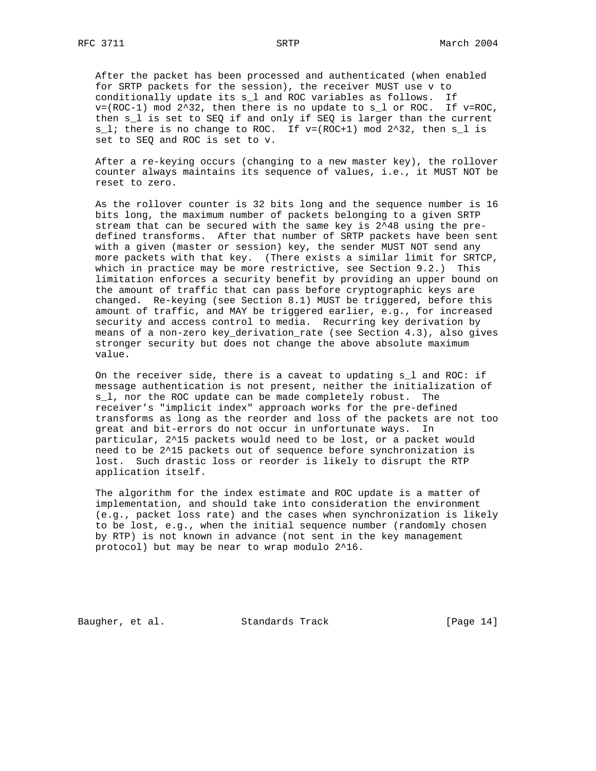After the packet has been processed and authenticated (when enabled for SRTP packets for the session), the receiver MUST use v to conditionally update its s\_l and ROC variables as follows. If  $v=(ROC-1)$  mod  $2^{2}32$ , then there is no update to s\_l or ROC. If  $v=ROC$ , then s\_l is set to SEQ if and only if SEQ is larger than the current  $s_l$ ; there is no change to ROC. If  $v=(ROC+1)$  mod  $2^32$ , then  $s_l$  is set to SEQ and ROC is set to v.

 After a re-keying occurs (changing to a new master key), the rollover counter always maintains its sequence of values, i.e., it MUST NOT be reset to zero.

 As the rollover counter is 32 bits long and the sequence number is 16 bits long, the maximum number of packets belonging to a given SRTP stream that can be secured with the same key is 2^48 using the pre defined transforms. After that number of SRTP packets have been sent with a given (master or session) key, the sender MUST NOT send any more packets with that key. (There exists a similar limit for SRTCP, which in practice may be more restrictive, see Section 9.2.) This limitation enforces a security benefit by providing an upper bound on the amount of traffic that can pass before cryptographic keys are changed. Re-keying (see Section 8.1) MUST be triggered, before this amount of traffic, and MAY be triggered earlier, e.g., for increased security and access control to media. Recurring key derivation by means of a non-zero key\_derivation\_rate (see Section 4.3), also gives stronger security but does not change the above absolute maximum value.

 On the receiver side, there is a caveat to updating s\_l and ROC: if message authentication is not present, neither the initialization of s\_l, nor the ROC update can be made completely robust. The receiver's "implicit index" approach works for the pre-defined transforms as long as the reorder and loss of the packets are not too great and bit-errors do not occur in unfortunate ways. In particular, 2^15 packets would need to be lost, or a packet would need to be 2^15 packets out of sequence before synchronization is lost. Such drastic loss or reorder is likely to disrupt the RTP application itself.

 The algorithm for the index estimate and ROC update is a matter of implementation, and should take into consideration the environment (e.g., packet loss rate) and the cases when synchronization is likely to be lost, e.g., when the initial sequence number (randomly chosen by RTP) is not known in advance (not sent in the key management protocol) but may be near to wrap modulo 2^16.

Baugher, et al. Standards Track [Page 14]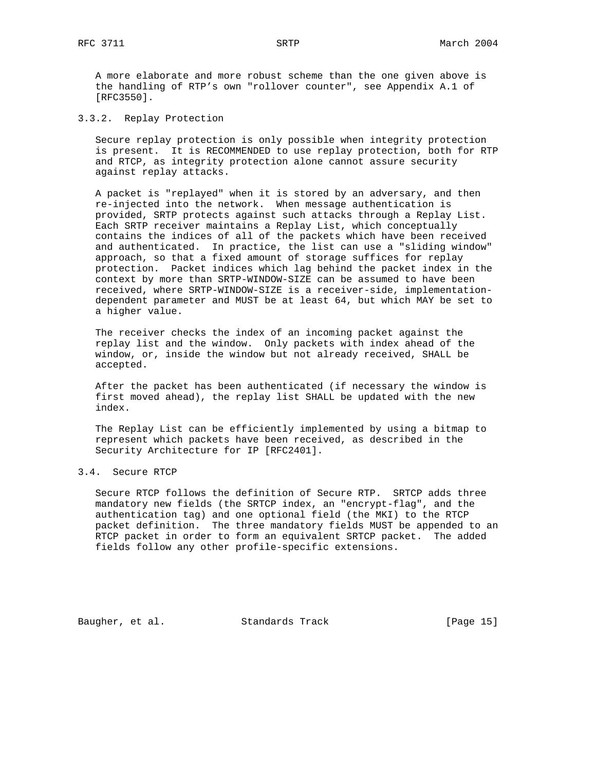A more elaborate and more robust scheme than the one given above is the handling of RTP's own "rollover counter", see Appendix A.1 of [RFC3550].

3.3.2. Replay Protection

 Secure replay protection is only possible when integrity protection is present. It is RECOMMENDED to use replay protection, both for RTP and RTCP, as integrity protection alone cannot assure security against replay attacks.

 A packet is "replayed" when it is stored by an adversary, and then re-injected into the network. When message authentication is provided, SRTP protects against such attacks through a Replay List. Each SRTP receiver maintains a Replay List, which conceptually contains the indices of all of the packets which have been received and authenticated. In practice, the list can use a "sliding window" approach, so that a fixed amount of storage suffices for replay protection. Packet indices which lag behind the packet index in the context by more than SRTP-WINDOW-SIZE can be assumed to have been received, where SRTP-WINDOW-SIZE is a receiver-side, implementation dependent parameter and MUST be at least 64, but which MAY be set to a higher value.

 The receiver checks the index of an incoming packet against the replay list and the window. Only packets with index ahead of the window, or, inside the window but not already received, SHALL be accepted.

 After the packet has been authenticated (if necessary the window is first moved ahead), the replay list SHALL be updated with the new index.

 The Replay List can be efficiently implemented by using a bitmap to represent which packets have been received, as described in the Security Architecture for IP [RFC2401].

# 3.4. Secure RTCP

 Secure RTCP follows the definition of Secure RTP. SRTCP adds three mandatory new fields (the SRTCP index, an "encrypt-flag", and the authentication tag) and one optional field (the MKI) to the RTCP packet definition. The three mandatory fields MUST be appended to an RTCP packet in order to form an equivalent SRTCP packet. The added fields follow any other profile-specific extensions.

Baugher, et al. Standards Track [Page 15]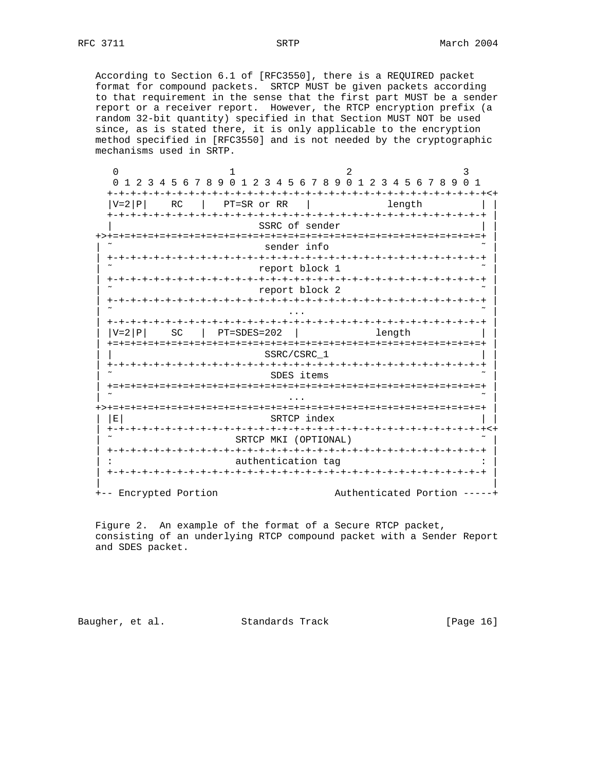According to Section 6.1 of [RFC3550], there is a REQUIRED packet format for compound packets. SRTCP MUST be given packets according to that requirement in the sense that the first part MUST be a sender report or a receiver report. However, the RTCP encryption prefix (a random 32-bit quantity) specified in that Section MUST NOT be used since, as is stated there, it is only applicable to the encryption method specified in [RFC3550] and is not needed by the cryptographic mechanisms used in SRTP.

 $0$  and  $1$  and  $2$  3 0 1 2 3 4 5 6 7 8 9 0 1 2 3 4 5 6 7 8 9 0 1 2 3 4 5 6 7 8 9 0 1 +-+-+-+-+-+-+-+-+-+-+-+-+-+-+-+-+-+-+-+-+-+-+-+-+-+-+-+-+-+-+-+-+<+ RC | PT=SR or RR | length +-+-+-+-+-+-+-+-+-+-+-+-+-+-+-+-+-+-+-+-+-+-+-+-+-+-+-+-+-+-+-+-+ | SSRC of sender +>+=+=+=+=+=+=+=+=+=+=+=+=+=+=+=+=+=+=+=+=+=+=+=+=+=+=+=+=+=+=+=+=+ | sender info | +-+-+-+-+-+-+-+-+-+-+-+-+-+-+-+-+-+-+-+-+-+-+-+-+-+-+-+-+-+-+-+-+ | report block 1 | +-+-+-+-+-+-+-+-+-+-+-+-+-+-+-+-+-+-+-+-+-+-+-+-+-+-+-+-+-+-+-+-+ | report block 2 | +-+-+-+-+-+-+-+-+-+-+-+-+-+-+-+-+-+-+-+-+-+-+-+-+-+-+-+-+-+-+-+-+ | | ˜ ... ˜ | | +-+-+-+-+-+-+-+-+-+-+-+-+-+-+-+-+-+-+-+-+-+-+-+-+-+-+-+-+-+-+-+-+ |  $|V=2|P|$  SC  $|PT=SDES=202$  length  $|V=2|P|$  | +=+=+=+=+=+=+=+=+=+=+=+=+=+=+=+=+=+=+=+=+=+=+=+=+=+=+=+=+=+=+=+=+ | SSRC/CSRC\_1 | +-+-+-+-+-+-+-+-+-+-+-+-+-+-+-+-+-+-+-+-+-+-+-+-+-+-+-+-+-+-+-+-+ | SDES items | +=+=+=+=+=+=+=+=+=+=+=+=+=+=+=+=+=+=+=+=+=+=+=+=+=+=+=+=+=+=+=+=+ | | ˜ ... ˜ | +>+=+=+=+=+=+=+=+=+=+=+=+=+=+=+=+=+=+=+=+=+=+=+=+=+=+=+=+=+=+=+=+=+ |  $|\quad|E|$  SRTCP index  $|\quad|$  | +-+-+-+-+-+-+-+-+-+-+-+-+-+-+-+-+-+-+-+-+-+-+-+-+-+-+-+-+-+-+-+-+<+ SRTCP MKI (OPTIONAL) | +-+-+-+-+-+-+-+-+-+-+-+-+-+-+-+-+-+-+-+-+-+-+-+-+-+-+-+-+-+-+-+-+ | authentication tag | +-+-+-+-+-+-+-+-+-+-+-+-+-+-+-+-+-+-+-+-+-+-+-+-+-+-+-+-+-+-+-+-+ | | | +-- Encrypted Portion  $\qquad \qquad \text{Authentication}$ 

 Figure 2. An example of the format of a Secure RTCP packet, consisting of an underlying RTCP compound packet with a Sender Report and SDES packet.

Baugher, et al. Standards Track [Page 16]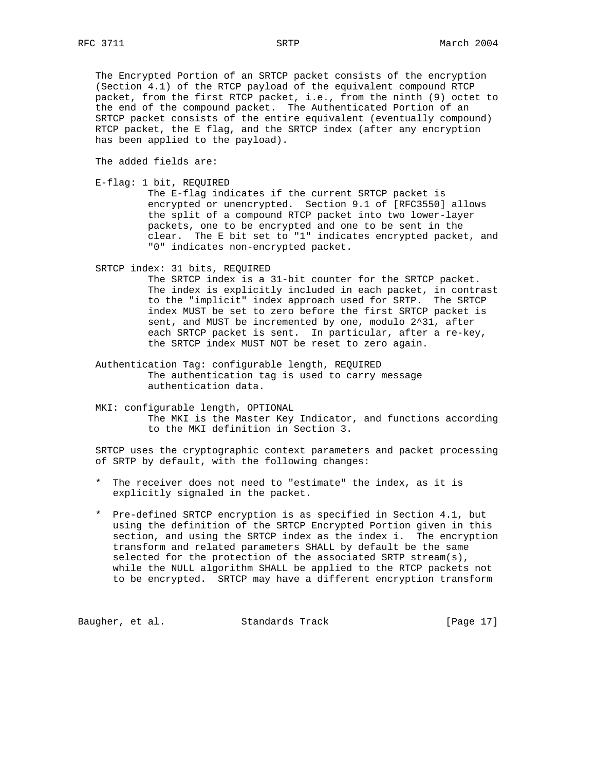The Encrypted Portion of an SRTCP packet consists of the encryption (Section 4.1) of the RTCP payload of the equivalent compound RTCP packet, from the first RTCP packet, i.e., from the ninth (9) octet to the end of the compound packet. The Authenticated Portion of an SRTCP packet consists of the entire equivalent (eventually compound) RTCP packet, the E flag, and the SRTCP index (after any encryption has been applied to the payload).

The added fields are:

E-flag: 1 bit, REQUIRED

 The E-flag indicates if the current SRTCP packet is encrypted or unencrypted. Section 9.1 of [RFC3550] allows the split of a compound RTCP packet into two lower-layer packets, one to be encrypted and one to be sent in the clear. The E bit set to "1" indicates encrypted packet, and "0" indicates non-encrypted packet.

SRTCP index: 31 bits, REQUIRED

 The SRTCP index is a 31-bit counter for the SRTCP packet. The index is explicitly included in each packet, in contrast to the "implicit" index approach used for SRTP. The SRTCP index MUST be set to zero before the first SRTCP packet is sent, and MUST be incremented by one, modulo 2^31, after each SRTCP packet is sent. In particular, after a re-key, the SRTCP index MUST NOT be reset to zero again.

- Authentication Tag: configurable length, REQUIRED The authentication tag is used to carry message authentication data.
- MKI: configurable length, OPTIONAL The MKI is the Master Key Indicator, and functions according to the MKI definition in Section 3.

 SRTCP uses the cryptographic context parameters and packet processing of SRTP by default, with the following changes:

- \* The receiver does not need to "estimate" the index, as it is explicitly signaled in the packet.
- \* Pre-defined SRTCP encryption is as specified in Section 4.1, but using the definition of the SRTCP Encrypted Portion given in this section, and using the SRTCP index as the index i. The encryption transform and related parameters SHALL by default be the same selected for the protection of the associated SRTP stream(s), while the NULL algorithm SHALL be applied to the RTCP packets not to be encrypted. SRTCP may have a different encryption transform

Baugher, et al. Standards Track [Page 17]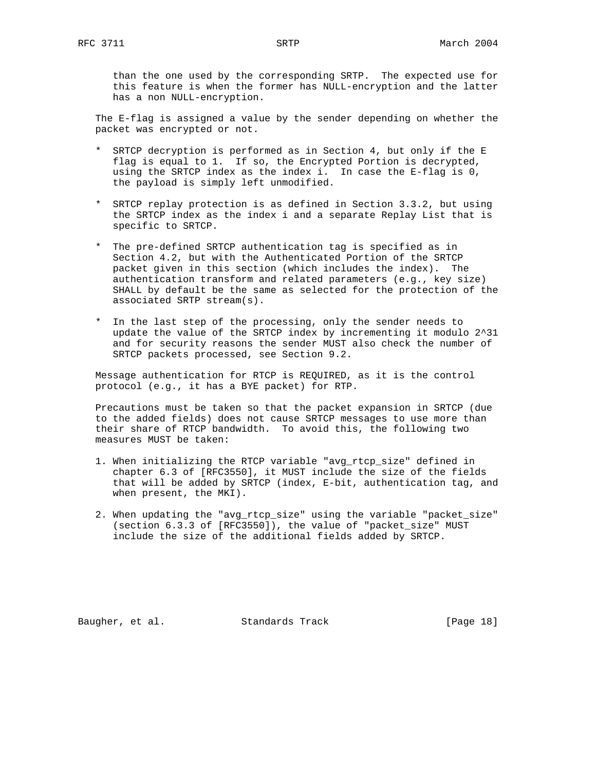than the one used by the corresponding SRTP. The expected use for this feature is when the former has NULL-encryption and the latter has a non NULL-encryption.

 The E-flag is assigned a value by the sender depending on whether the packet was encrypted or not.

- \* SRTCP decryption is performed as in Section 4, but only if the E flag is equal to 1. If so, the Encrypted Portion is decrypted, using the SRTCP index as the index i. In case the E-flag is 0, the payload is simply left unmodified.
- \* SRTCP replay protection is as defined in Section 3.3.2, but using the SRTCP index as the index i and a separate Replay List that is specific to SRTCP.
- \* The pre-defined SRTCP authentication tag is specified as in Section 4.2, but with the Authenticated Portion of the SRTCP packet given in this section (which includes the index). The authentication transform and related parameters (e.g., key size) SHALL by default be the same as selected for the protection of the associated SRTP stream(s).
- \* In the last step of the processing, only the sender needs to update the value of the SRTCP index by incrementing it modulo 2^31 and for security reasons the sender MUST also check the number of SRTCP packets processed, see Section 9.2.

 Message authentication for RTCP is REQUIRED, as it is the control protocol (e.g., it has a BYE packet) for RTP.

 Precautions must be taken so that the packet expansion in SRTCP (due to the added fields) does not cause SRTCP messages to use more than their share of RTCP bandwidth. To avoid this, the following two measures MUST be taken:

- 1. When initializing the RTCP variable "avg\_rtcp\_size" defined in chapter 6.3 of [RFC3550], it MUST include the size of the fields that will be added by SRTCP (index, E-bit, authentication tag, and when present, the MKI).
- 2. When updating the "avg\_rtcp\_size" using the variable "packet\_size" (section 6.3.3 of [RFC3550]), the value of "packet\_size" MUST include the size of the additional fields added by SRTCP.

Baugher, et al. Standards Track [Page 18]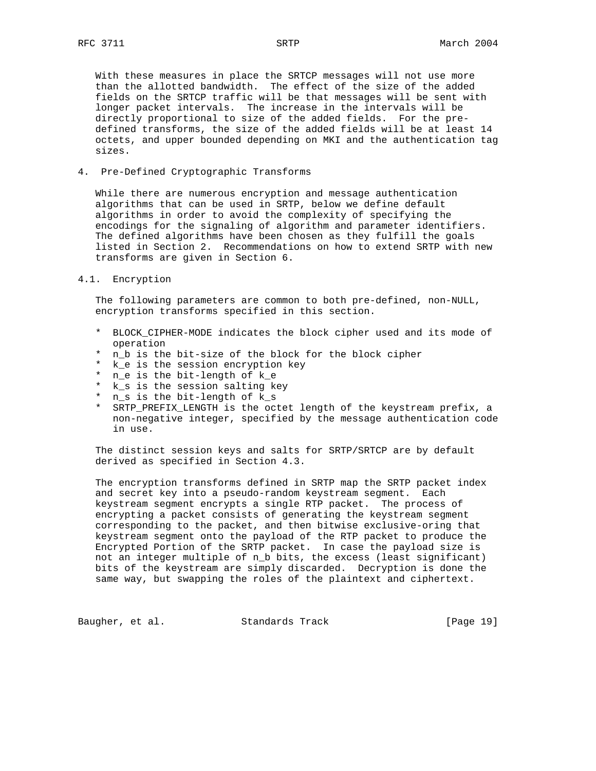With these measures in place the SRTCP messages will not use more than the allotted bandwidth. The effect of the size of the added fields on the SRTCP traffic will be that messages will be sent with longer packet intervals. The increase in the intervals will be directly proportional to size of the added fields. For the pre defined transforms, the size of the added fields will be at least 14 octets, and upper bounded depending on MKI and the authentication tag sizes.

## 4. Pre-Defined Cryptographic Transforms

 While there are numerous encryption and message authentication algorithms that can be used in SRTP, below we define default algorithms in order to avoid the complexity of specifying the encodings for the signaling of algorithm and parameter identifiers. The defined algorithms have been chosen as they fulfill the goals listed in Section 2. Recommendations on how to extend SRTP with new transforms are given in Section 6.

#### 4.1. Encryption

 The following parameters are common to both pre-defined, non-NULL, encryption transforms specified in this section.

- \* BLOCK\_CIPHER-MODE indicates the block cipher used and its mode of operation
- \* n\_b is the bit-size of the block for the block cipher
- \* k e is the session encryption key
- n\_e is the bit-length of k\_e
- k\_s is the session salting key
- \* n\_s is the bit-length of k\_s
- \* SRTP\_PREFIX\_LENGTH is the octet length of the keystream prefix, a non-negative integer, specified by the message authentication code in use.

 The distinct session keys and salts for SRTP/SRTCP are by default derived as specified in Section 4.3.

 The encryption transforms defined in SRTP map the SRTP packet index and secret key into a pseudo-random keystream segment. Each keystream segment encrypts a single RTP packet. The process of encrypting a packet consists of generating the keystream segment corresponding to the packet, and then bitwise exclusive-oring that keystream segment onto the payload of the RTP packet to produce the Encrypted Portion of the SRTP packet. In case the payload size is not an integer multiple of n\_b bits, the excess (least significant) bits of the keystream are simply discarded. Decryption is done the same way, but swapping the roles of the plaintext and ciphertext.

Baugher, et al. Standards Track [Page 19]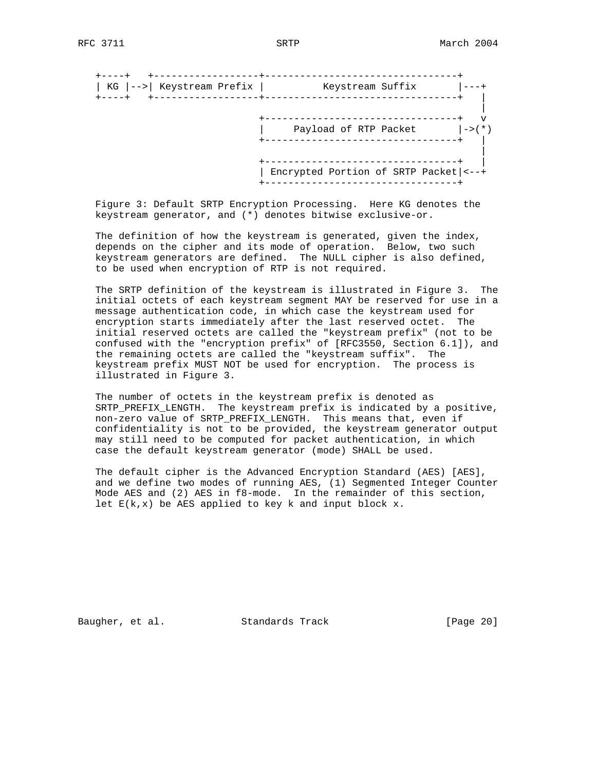+----+ +------------------+---------------------------------+ | KG |-->| Keystream Prefix | Keystream Suffix |---+ +----+ +------------------+---------------------------------+ | | +---------------------------------+ v | Payload of RTP Packet |->(\*) +---------------------------------+ | | +---------------------------------+ | | Encrypted Portion of SRTP Packet|<--+ +---------------------------------+

 Figure 3: Default SRTP Encryption Processing. Here KG denotes the keystream generator, and (\*) denotes bitwise exclusive-or.

 The definition of how the keystream is generated, given the index, depends on the cipher and its mode of operation. Below, two such keystream generators are defined. The NULL cipher is also defined, to be used when encryption of RTP is not required.

 The SRTP definition of the keystream is illustrated in Figure 3. The initial octets of each keystream segment MAY be reserved for use in a message authentication code, in which case the keystream used for encryption starts immediately after the last reserved octet. The initial reserved octets are called the "keystream prefix" (not to be confused with the "encryption prefix" of [RFC3550, Section 6.1]), and the remaining octets are called the "keystream suffix". The keystream prefix MUST NOT be used for encryption. The process is illustrated in Figure 3.

 The number of octets in the keystream prefix is denoted as SRTP\_PREFIX\_LENGTH. The keystream prefix is indicated by a positive, non-zero value of SRTP\_PREFIX\_LENGTH. This means that, even if confidentiality is not to be provided, the keystream generator output may still need to be computed for packet authentication, in which case the default keystream generator (mode) SHALL be used.

 The default cipher is the Advanced Encryption Standard (AES) [AES], and we define two modes of running AES, (1) Segmented Integer Counter Mode AES and (2) AES in f8-mode. In the remainder of this section, let  $E(k, x)$  be AES applied to key k and input block x.

Baugher, et al. Standards Track [Page 20]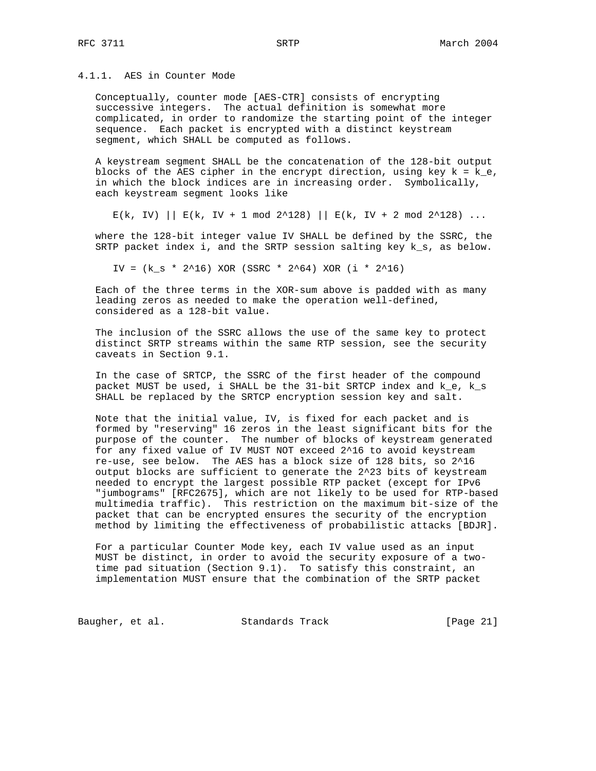4.1.1. AES in Counter Mode

 Conceptually, counter mode [AES-CTR] consists of encrypting successive integers. The actual definition is somewhat more complicated, in order to randomize the starting point of the integer sequence. Each packet is encrypted with a distinct keystream segment, which SHALL be computed as follows.

 A keystream segment SHALL be the concatenation of the 128-bit output blocks of the AES cipher in the encrypt direction, using key  $k = k_e$ , in which the block indices are in increasing order. Symbolically, each keystream segment looks like

 $E(k, IV)$  ||  $E(k, IV + 1 \mod 2^2128)$  ||  $E(k, IV + 2 \mod 2^2128)$  ...

 where the 128-bit integer value IV SHALL be defined by the SSRC, the SRTP packet index i, and the SRTP session salting key k\_s, as below.

IV =  $(k_s * 2^16)$  XOR (SSRC \* 2^64) XOR (i \* 2^16)

 Each of the three terms in the XOR-sum above is padded with as many leading zeros as needed to make the operation well-defined, considered as a 128-bit value.

 The inclusion of the SSRC allows the use of the same key to protect distinct SRTP streams within the same RTP session, see the security caveats in Section 9.1.

 In the case of SRTCP, the SSRC of the first header of the compound packet MUST be used, i SHALL be the 31-bit SRTCP index and k\_e, k\_s SHALL be replaced by the SRTCP encryption session key and salt.

 Note that the initial value, IV, is fixed for each packet and is formed by "reserving" 16 zeros in the least significant bits for the purpose of the counter. The number of blocks of keystream generated for any fixed value of IV MUST NOT exceed 2^16 to avoid keystream re-use, see below. The AES has a block size of 128 bits, so 2^16 output blocks are sufficient to generate the 2^23 bits of keystream needed to encrypt the largest possible RTP packet (except for IPv6 "jumbograms" [RFC2675], which are not likely to be used for RTP-based multimedia traffic). This restriction on the maximum bit-size of the packet that can be encrypted ensures the security of the encryption method by limiting the effectiveness of probabilistic attacks [BDJR].

 For a particular Counter Mode key, each IV value used as an input MUST be distinct, in order to avoid the security exposure of a two time pad situation (Section 9.1). To satisfy this constraint, an implementation MUST ensure that the combination of the SRTP packet

Baugher, et al. Standards Track [Page 21]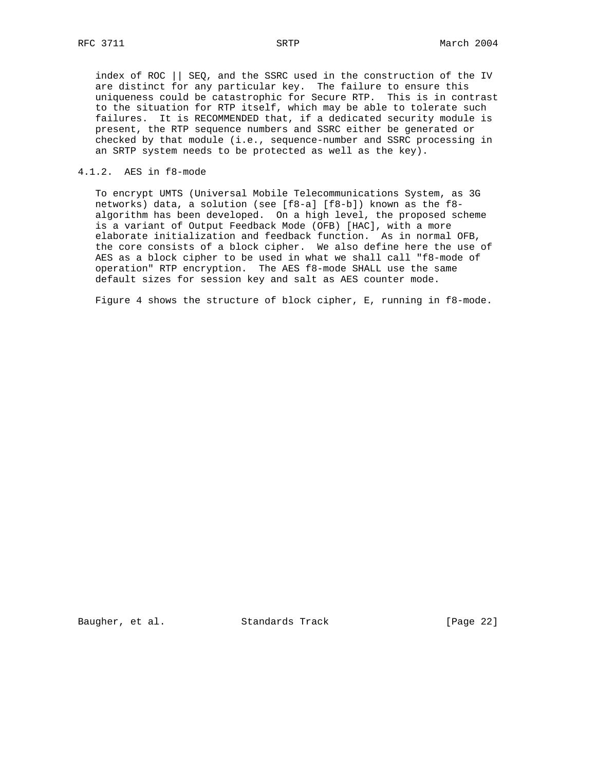index of ROC || SEQ, and the SSRC used in the construction of the IV are distinct for any particular key. The failure to ensure this uniqueness could be catastrophic for Secure RTP. This is in contrast to the situation for RTP itself, which may be able to tolerate such failures. It is RECOMMENDED that, if a dedicated security module is present, the RTP sequence numbers and SSRC either be generated or checked by that module (i.e., sequence-number and SSRC processing in an SRTP system needs to be protected as well as the key).

## 4.1.2. AES in f8-mode

 To encrypt UMTS (Universal Mobile Telecommunications System, as 3G networks) data, a solution (see [f8-a] [f8-b]) known as the f8 algorithm has been developed. On a high level, the proposed scheme is a variant of Output Feedback Mode (OFB) [HAC], with a more elaborate initialization and feedback function. As in normal OFB, the core consists of a block cipher. We also define here the use of AES as a block cipher to be used in what we shall call "f8-mode of operation" RTP encryption. The AES f8-mode SHALL use the same default sizes for session key and salt as AES counter mode.

Figure 4 shows the structure of block cipher, E, running in f8-mode.

Baugher, et al. Standards Track [Page 22]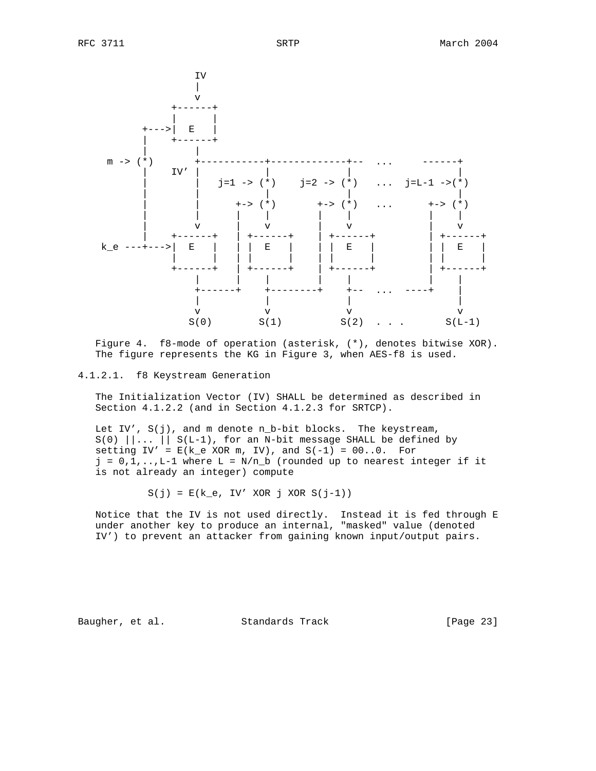

 Figure 4. f8-mode of operation (asterisk, (\*), denotes bitwise XOR). The figure represents the KG in Figure 3, when AES-f8 is used.

#### 4.1.2.1. f8 Keystream Generation

 The Initialization Vector (IV) SHALL be determined as described in Section 4.1.2.2 (and in Section 4.1.2.3 for SRTCP).

 Let IV', S(j), and m denote n\_b-bit blocks. The keystream,  $S(0)$   $||...||S(L-1)$ , for an N-bit message SHALL be defined by setting  $IV' = E(k_e \times \text{OR m}, IV)$ , and  $S(-1) = 00...0$ . For  $j = 0, 1, \ldots, L-1$  where  $L = N/n_b$  (rounded up to nearest integer if it is not already an integer) compute

 $S(j) = E(k_e, IV' XOR j XOR S(j-1))$ 

 Notice that the IV is not used directly. Instead it is fed through E under another key to produce an internal, "masked" value (denoted IV') to prevent an attacker from gaining known input/output pairs.

Baugher, et al. Standards Track [Page 23]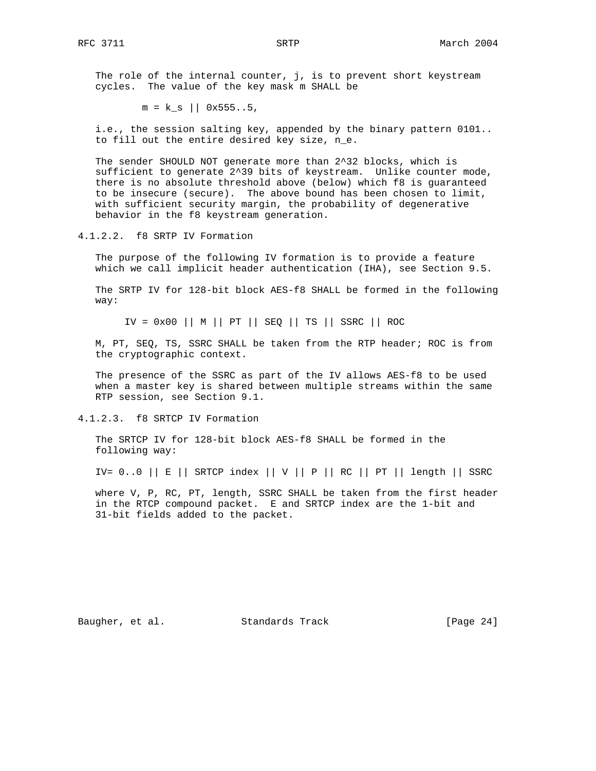The role of the internal counter, j, is to prevent short keystream cycles. The value of the key mask m SHALL be

 $m = k s$  || 0x555..5,

 i.e., the session salting key, appended by the binary pattern 0101.. to fill out the entire desired key size, n\_e.

 The sender SHOULD NOT generate more than 2^32 blocks, which is sufficient to generate 2^39 bits of keystream. Unlike counter mode, there is no absolute threshold above (below) which f8 is guaranteed to be insecure (secure). The above bound has been chosen to limit, with sufficient security margin, the probability of degenerative behavior in the f8 keystream generation.

4.1.2.2. f8 SRTP IV Formation

 The purpose of the following IV formation is to provide a feature which we call implicit header authentication (IHA), see Section 9.5.

 The SRTP IV for 128-bit block AES-f8 SHALL be formed in the following way:

 $IV = 0x00$  || M || PT || SEQ || TS || SSRC || ROC

 M, PT, SEQ, TS, SSRC SHALL be taken from the RTP header; ROC is from the cryptographic context.

 The presence of the SSRC as part of the IV allows AES-f8 to be used when a master key is shared between multiple streams within the same RTP session, see Section 9.1.

4.1.2.3. f8 SRTCP IV Formation

 The SRTCP IV for 128-bit block AES-f8 SHALL be formed in the following way:

IV=  $0.0$  || E || SRTCP index || V || P || RC || PT || length || SSRC

 where V, P, RC, PT, length, SSRC SHALL be taken from the first header in the RTCP compound packet. E and SRTCP index are the 1-bit and 31-bit fields added to the packet.

Baugher, et al. Standards Track [Page 24]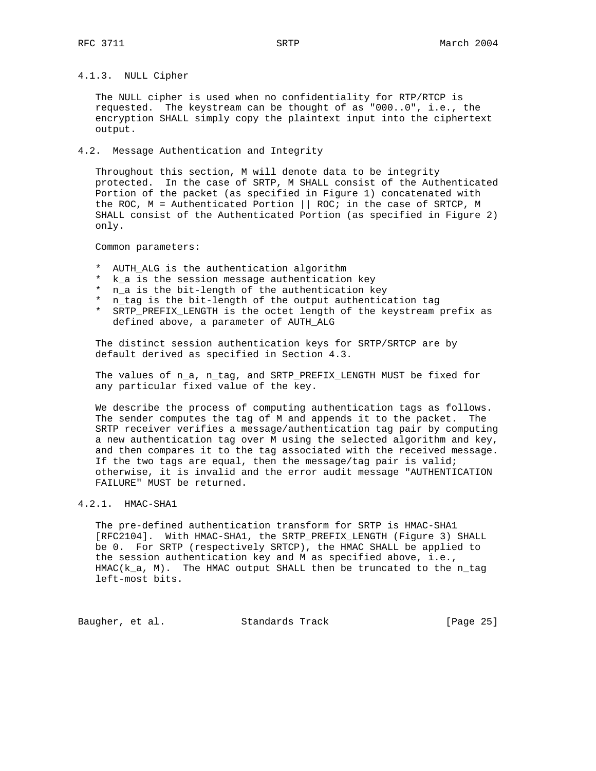# 4.1.3. NULL Cipher

 The NULL cipher is used when no confidentiality for RTP/RTCP is requested. The keystream can be thought of as "000..0", i.e., the encryption SHALL simply copy the plaintext input into the ciphertext output.

#### 4.2. Message Authentication and Integrity

 Throughout this section, M will denote data to be integrity protected. In the case of SRTP, M SHALL consist of the Authenticated Portion of the packet (as specified in Figure 1) concatenated with the ROC, M = Authenticated Portion || ROC; in the case of SRTCP, M SHALL consist of the Authenticated Portion (as specified in Figure 2) only.

Common parameters:

- \* AUTH\_ALG is the authentication algorithm
- \* k\_a is the session message authentication key
- \* n\_a is the bit-length of the authentication key
- \* n\_tag is the bit-length of the output authentication tag
- \* SRTP\_PREFIX\_LENGTH is the octet length of the keystream prefix as defined above, a parameter of AUTH\_ALG

 The distinct session authentication keys for SRTP/SRTCP are by default derived as specified in Section 4.3.

 The values of n\_a, n\_tag, and SRTP\_PREFIX\_LENGTH MUST be fixed for any particular fixed value of the key.

 We describe the process of computing authentication tags as follows. The sender computes the tag of M and appends it to the packet. The SRTP receiver verifies a message/authentication tag pair by computing a new authentication tag over M using the selected algorithm and key, and then compares it to the tag associated with the received message. If the two tags are equal, then the message/tag pair is valid; otherwise, it is invalid and the error audit message "AUTHENTICATION FAILURE" MUST be returned.

## 4.2.1. HMAC-SHA1

 The pre-defined authentication transform for SRTP is HMAC-SHA1 [RFC2104]. With HMAC-SHA1, the SRTP\_PREFIX\_LENGTH (Figure 3) SHALL be 0. For SRTP (respectively SRTCP), the HMAC SHALL be applied to the session authentication key and M as specified above, i.e., HMAC(k\_a, M). The HMAC output SHALL then be truncated to the n\_tag left-most bits.

Baugher, et al. Standards Track [Page 25]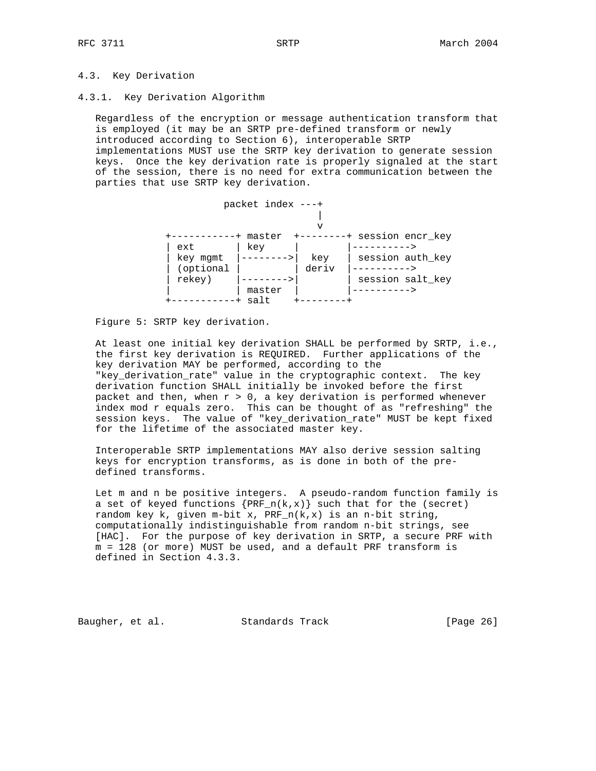## 4.3. Key Derivation

#### 4.3.1. Key Derivation Algorithm

 Regardless of the encryption or message authentication transform that is employed (it may be an SRTP pre-defined transform or newly introduced according to Section 6), interoperable SRTP implementations MUST use the SRTP key derivation to generate session keys. Once the key derivation rate is properly signaled at the start of the session, there is no need for extra communication between the parties that use SRTP key derivation.



## Figure 5: SRTP key derivation.

 At least one initial key derivation SHALL be performed by SRTP, i.e., the first key derivation is REQUIRED. Further applications of the key derivation MAY be performed, according to the "key\_derivation\_rate" value in the cryptographic context. The key derivation function SHALL initially be invoked before the first packet and then, when  $r > 0$ , a key derivation is performed whenever index mod r equals zero. This can be thought of as "refreshing" the session keys. The value of "key\_derivation\_rate" MUST be kept fixed for the lifetime of the associated master key.

 Interoperable SRTP implementations MAY also derive session salting keys for encryption transforms, as is done in both of the pre defined transforms.

 Let m and n be positive integers. A pseudo-random function family is a set of keyed functions  $\{PRF_n(k,x)\}$  such that for the (secret) random key k, given m-bit x,  $PRF_n(k,x)$  is an n-bit string, computationally indistinguishable from random n-bit strings, see [HAC]. For the purpose of key derivation in SRTP, a secure PRF with m = 128 (or more) MUST be used, and a default PRF transform is defined in Section 4.3.3.

Baugher, et al. Standards Track [Page 26]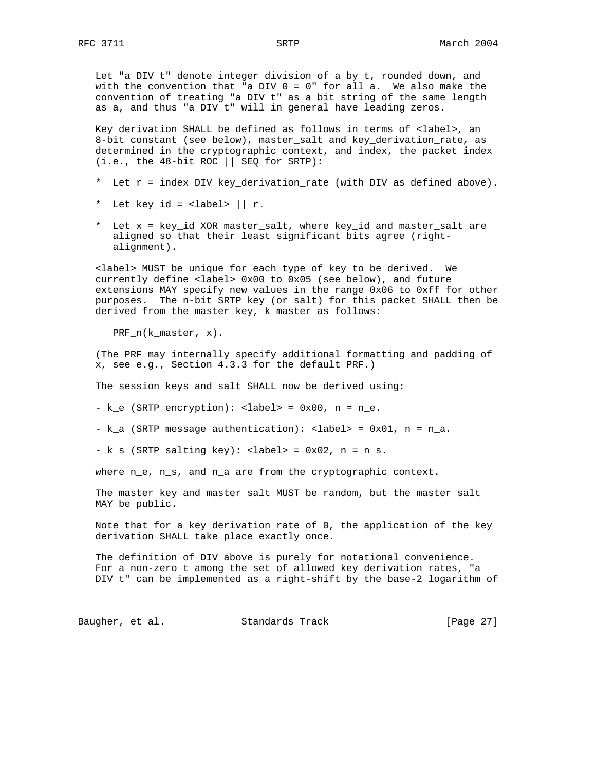Let "a DIV t" denote integer division of a by t, rounded down, and with the convention that "a DIV  $0 = 0$ " for all a. We also make the convention of treating "a DIV t" as a bit string of the same length as a, and thus "a DIV t" will in general have leading zeros.

 Key derivation SHALL be defined as follows in terms of <label>, an 8-bit constant (see below), master\_salt and key\_derivation\_rate, as determined in the cryptographic context, and index, the packet index  $(i.e., the 48-bit ROC || SEQ for SRTP):$ 

- \* Let r = index DIV key\_derivation\_rate (with DIV as defined above).
- \* Let key\_id = <label>  $||r.$
- \* Let x = key\_id XOR master\_salt, where key\_id and master\_salt are aligned so that their least significant bits agree (right alignment).

 <label> MUST be unique for each type of key to be derived. We currently define <label> 0x00 to 0x05 (see below), and future extensions MAY specify new values in the range 0x06 to 0xff for other purposes. The n-bit SRTP key (or salt) for this packet SHALL then be derived from the master key, k\_master as follows:

PRF\_n(k\_master, x).

 (The PRF may internally specify additional formatting and padding of x, see e.g., Section 4.3.3 for the default PRF.)

The session keys and salt SHALL now be derived using:

 $-k_e$  (SRTP encryption): <label> = 0x00, n = n\_e.

-  $k_a$  (SRTP message authentication): <label> =  $0x01$ ,  $n = n_a$ .

 $-k_s$  (SRTP salting key): <label> = 0x02, n = n\_s.

where  $n_e$ ,  $n_s$ , and  $n_a$  are from the cryptographic context.

 The master key and master salt MUST be random, but the master salt MAY be public.

 Note that for a key\_derivation\_rate of 0, the application of the key derivation SHALL take place exactly once.

 The definition of DIV above is purely for notational convenience. For a non-zero t among the set of allowed key derivation rates, "a DIV t" can be implemented as a right-shift by the base-2 logarithm of

Baugher, et al. Standards Track [Page 27]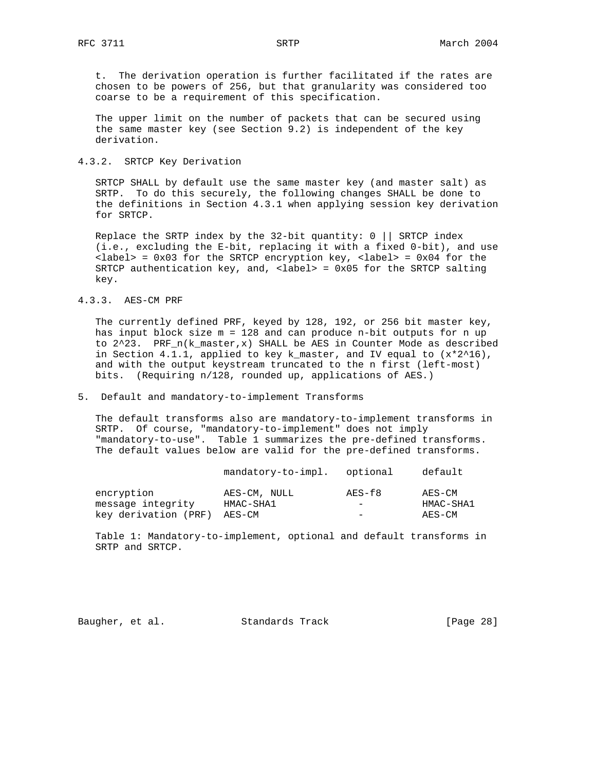t. The derivation operation is further facilitated if the rates are chosen to be powers of 256, but that granularity was considered too coarse to be a requirement of this specification.

 The upper limit on the number of packets that can be secured using the same master key (see Section 9.2) is independent of the key derivation.

## 4.3.2. SRTCP Key Derivation

 SRTCP SHALL by default use the same master key (and master salt) as SRTP. To do this securely, the following changes SHALL be done to the definitions in Section 4.3.1 when applying session key derivation for SRTCP.

 Replace the SRTP index by the 32-bit quantity: 0 || SRTCP index (i.e., excluding the E-bit, replacing it with a fixed 0-bit), and use  $\langle$ label> = 0x03 for the SRTCP encryption key,  $\langle$ label> = 0x04 for the SRTCP authentication key, and, <label> = 0x05 for the SRTCP salting key.

#### 4.3.3. AES-CM PRF

 The currently defined PRF, keyed by 128, 192, or 256 bit master key, has input block size m = 128 and can produce n-bit outputs for n up to  $2^2$ 3. PRF\_n(k\_master,x) SHALL be AES in Counter Mode as described in Section 4.1.1, applied to key k\_master, and IV equal to  $(x*2^16)$ , and with the output keystream truncated to the n first (left-most) bits. (Requiring n/128, rounded up, applications of AES.)

# 5. Default and mandatory-to-implement Transforms

 The default transforms also are mandatory-to-implement transforms in SRTP. Of course, "mandatory-to-implement" does not imply "mandatory-to-use". Table 1 summarizes the pre-defined transforms. The default values below are valid for the pre-defined transforms.

|                                 | mandatory-to-impl.        | optional                           | default             |
|---------------------------------|---------------------------|------------------------------------|---------------------|
| encryption<br>message integrity | AES-CM, NULL<br>HMAC-SHA1 | AES-f8<br>$\overline{\phantom{m}}$ | AES-CM<br>HMAC-SHA1 |
| key derivation (PRF)            | AES-CM                    | $\overline{\phantom{m}}$           | AES-CM              |

 Table 1: Mandatory-to-implement, optional and default transforms in SRTP and SRTCP.

Baugher, et al. Standards Track [Page 28]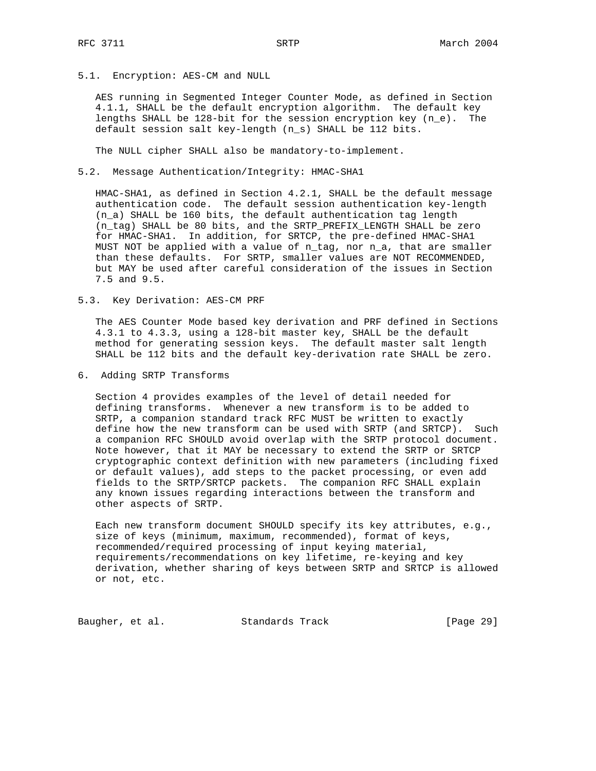5.1. Encryption: AES-CM and NULL

 AES running in Segmented Integer Counter Mode, as defined in Section 4.1.1, SHALL be the default encryption algorithm. The default key lengths SHALL be 128-bit for the session encryption key (n\_e). The default session salt key-length (n\_s) SHALL be 112 bits.

The NULL cipher SHALL also be mandatory-to-implement.

5.2. Message Authentication/Integrity: HMAC-SHA1

 HMAC-SHA1, as defined in Section 4.2.1, SHALL be the default message authentication code. The default session authentication key-length (n\_a) SHALL be 160 bits, the default authentication tag length (n\_tag) SHALL be 80 bits, and the SRTP\_PREFIX\_LENGTH SHALL be zero for HMAC-SHA1. In addition, for SRTCP, the pre-defined HMAC-SHA1 MUST NOT be applied with a value of n\_tag, nor n\_a, that are smaller than these defaults. For SRTP, smaller values are NOT RECOMMENDED, but MAY be used after careful consideration of the issues in Section 7.5 and 9.5.

5.3. Key Derivation: AES-CM PRF

 The AES Counter Mode based key derivation and PRF defined in Sections 4.3.1 to 4.3.3, using a 128-bit master key, SHALL be the default method for generating session keys. The default master salt length SHALL be 112 bits and the default key-derivation rate SHALL be zero.

6. Adding SRTP Transforms

 Section 4 provides examples of the level of detail needed for defining transforms. Whenever a new transform is to be added to SRTP, a companion standard track RFC MUST be written to exactly define how the new transform can be used with SRTP (and SRTCP). Such a companion RFC SHOULD avoid overlap with the SRTP protocol document. Note however, that it MAY be necessary to extend the SRTP or SRTCP cryptographic context definition with new parameters (including fixed or default values), add steps to the packet processing, or even add fields to the SRTP/SRTCP packets. The companion RFC SHALL explain any known issues regarding interactions between the transform and other aspects of SRTP.

 Each new transform document SHOULD specify its key attributes, e.g., size of keys (minimum, maximum, recommended), format of keys, recommended/required processing of input keying material, requirements/recommendations on key lifetime, re-keying and key derivation, whether sharing of keys between SRTP and SRTCP is allowed or not, etc.

Baugher, et al. Standards Track [Page 29]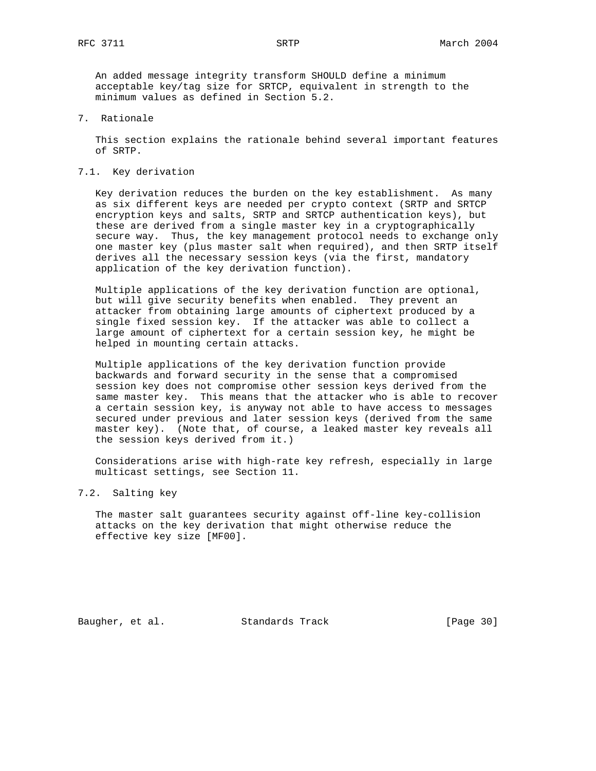An added message integrity transform SHOULD define a minimum acceptable key/tag size for SRTCP, equivalent in strength to the minimum values as defined in Section 5.2.

7. Rationale

 This section explains the rationale behind several important features of SRTP.

7.1. Key derivation

 Key derivation reduces the burden on the key establishment. As many as six different keys are needed per crypto context (SRTP and SRTCP encryption keys and salts, SRTP and SRTCP authentication keys), but these are derived from a single master key in a cryptographically secure way. Thus, the key management protocol needs to exchange only one master key (plus master salt when required), and then SRTP itself derives all the necessary session keys (via the first, mandatory application of the key derivation function).

 Multiple applications of the key derivation function are optional, but will give security benefits when enabled. They prevent an attacker from obtaining large amounts of ciphertext produced by a single fixed session key. If the attacker was able to collect a large amount of ciphertext for a certain session key, he might be helped in mounting certain attacks.

 Multiple applications of the key derivation function provide backwards and forward security in the sense that a compromised session key does not compromise other session keys derived from the same master key. This means that the attacker who is able to recover a certain session key, is anyway not able to have access to messages secured under previous and later session keys (derived from the same master key). (Note that, of course, a leaked master key reveals all the session keys derived from it.)

 Considerations arise with high-rate key refresh, especially in large multicast settings, see Section 11.

## 7.2. Salting key

 The master salt guarantees security against off-line key-collision attacks on the key derivation that might otherwise reduce the effective key size [MF00].

Baugher, et al. Standards Track [Page 30]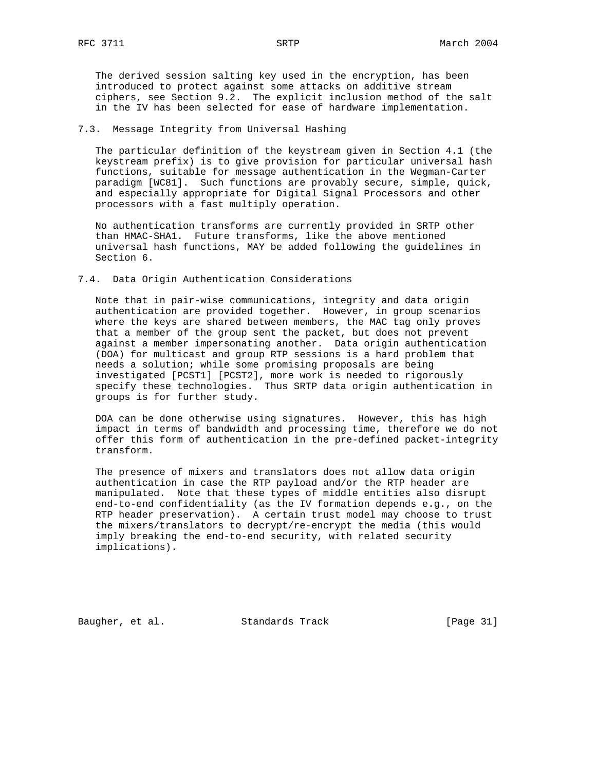The derived session salting key used in the encryption, has been introduced to protect against some attacks on additive stream ciphers, see Section 9.2. The explicit inclusion method of the salt in the IV has been selected for ease of hardware implementation.

## 7.3. Message Integrity from Universal Hashing

 The particular definition of the keystream given in Section 4.1 (the keystream prefix) is to give provision for particular universal hash functions, suitable for message authentication in the Wegman-Carter paradigm [WC81]. Such functions are provably secure, simple, quick, and especially appropriate for Digital Signal Processors and other processors with a fast multiply operation.

 No authentication transforms are currently provided in SRTP other than HMAC-SHA1. Future transforms, like the above mentioned universal hash functions, MAY be added following the guidelines in Section 6.

#### 7.4. Data Origin Authentication Considerations

 Note that in pair-wise communications, integrity and data origin authentication are provided together. However, in group scenarios where the keys are shared between members, the MAC tag only proves that a member of the group sent the packet, but does not prevent against a member impersonating another. Data origin authentication (DOA) for multicast and group RTP sessions is a hard problem that needs a solution; while some promising proposals are being investigated [PCST1] [PCST2], more work is needed to rigorously specify these technologies. Thus SRTP data origin authentication in groups is for further study.

 DOA can be done otherwise using signatures. However, this has high impact in terms of bandwidth and processing time, therefore we do not offer this form of authentication in the pre-defined packet-integrity transform.

 The presence of mixers and translators does not allow data origin authentication in case the RTP payload and/or the RTP header are manipulated. Note that these types of middle entities also disrupt end-to-end confidentiality (as the IV formation depends e.g., on the RTP header preservation). A certain trust model may choose to trust the mixers/translators to decrypt/re-encrypt the media (this would imply breaking the end-to-end security, with related security implications).

Baugher, et al. Standards Track [Page 31]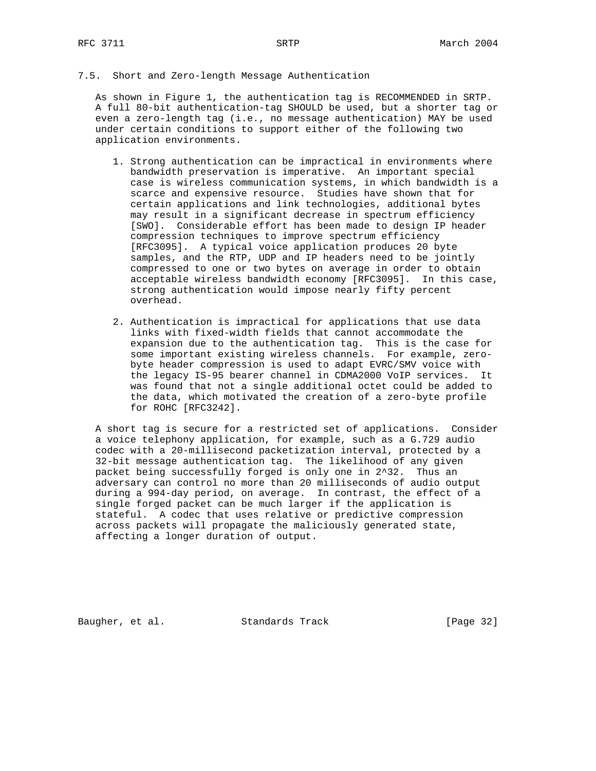## 7.5. Short and Zero-length Message Authentication

 As shown in Figure 1, the authentication tag is RECOMMENDED in SRTP. A full 80-bit authentication-tag SHOULD be used, but a shorter tag or even a zero-length tag (i.e., no message authentication) MAY be used under certain conditions to support either of the following two application environments.

- 1. Strong authentication can be impractical in environments where bandwidth preservation is imperative. An important special case is wireless communication systems, in which bandwidth is a scarce and expensive resource. Studies have shown that for certain applications and link technologies, additional bytes may result in a significant decrease in spectrum efficiency [SWO]. Considerable effort has been made to design IP header compression techniques to improve spectrum efficiency [RFC3095]. A typical voice application produces 20 byte samples, and the RTP, UDP and IP headers need to be jointly compressed to one or two bytes on average in order to obtain acceptable wireless bandwidth economy [RFC3095]. In this case, strong authentication would impose nearly fifty percent overhead.
- 2. Authentication is impractical for applications that use data links with fixed-width fields that cannot accommodate the expansion due to the authentication tag. This is the case for some important existing wireless channels. For example, zero byte header compression is used to adapt EVRC/SMV voice with the legacy IS-95 bearer channel in CDMA2000 VoIP services. It was found that not a single additional octet could be added to the data, which motivated the creation of a zero-byte profile for ROHC [RFC3242].

 A short tag is secure for a restricted set of applications. Consider a voice telephony application, for example, such as a G.729 audio codec with a 20-millisecond packetization interval, protected by a 32-bit message authentication tag. The likelihood of any given packet being successfully forged is only one in 2^32. Thus an adversary can control no more than 20 milliseconds of audio output during a 994-day period, on average. In contrast, the effect of a single forged packet can be much larger if the application is stateful. A codec that uses relative or predictive compression across packets will propagate the maliciously generated state, affecting a longer duration of output.

Baugher, et al. Standards Track [Page 32]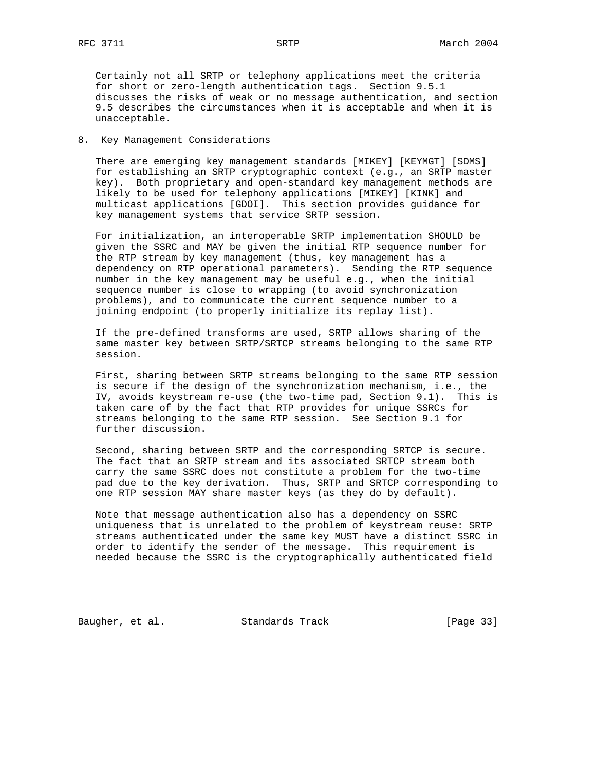Certainly not all SRTP or telephony applications meet the criteria for short or zero-length authentication tags. Section 9.5.1 discusses the risks of weak or no message authentication, and section 9.5 describes the circumstances when it is acceptable and when it is unacceptable.

## 8. Key Management Considerations

 There are emerging key management standards [MIKEY] [KEYMGT] [SDMS] for establishing an SRTP cryptographic context (e.g., an SRTP master key). Both proprietary and open-standard key management methods are likely to be used for telephony applications [MIKEY] [KINK] and multicast applications [GDOI]. This section provides guidance for key management systems that service SRTP session.

 For initialization, an interoperable SRTP implementation SHOULD be given the SSRC and MAY be given the initial RTP sequence number for the RTP stream by key management (thus, key management has a dependency on RTP operational parameters). Sending the RTP sequence number in the key management may be useful e.g., when the initial sequence number is close to wrapping (to avoid synchronization problems), and to communicate the current sequence number to a joining endpoint (to properly initialize its replay list).

 If the pre-defined transforms are used, SRTP allows sharing of the same master key between SRTP/SRTCP streams belonging to the same RTP session.

 First, sharing between SRTP streams belonging to the same RTP session is secure if the design of the synchronization mechanism, i.e., the IV, avoids keystream re-use (the two-time pad, Section 9.1). This is taken care of by the fact that RTP provides for unique SSRCs for streams belonging to the same RTP session. See Section 9.1 for further discussion.

 Second, sharing between SRTP and the corresponding SRTCP is secure. The fact that an SRTP stream and its associated SRTCP stream both carry the same SSRC does not constitute a problem for the two-time pad due to the key derivation. Thus, SRTP and SRTCP corresponding to one RTP session MAY share master keys (as they do by default).

 Note that message authentication also has a dependency on SSRC uniqueness that is unrelated to the problem of keystream reuse: SRTP streams authenticated under the same key MUST have a distinct SSRC in order to identify the sender of the message. This requirement is needed because the SSRC is the cryptographically authenticated field

Baugher, et al. Standards Track [Page 33]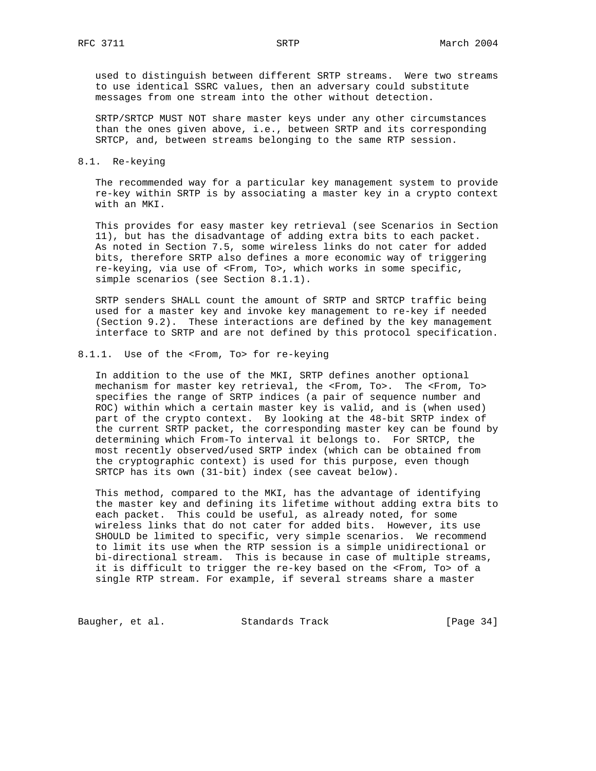used to distinguish between different SRTP streams. Were two streams to use identical SSRC values, then an adversary could substitute messages from one stream into the other without detection.

 SRTP/SRTCP MUST NOT share master keys under any other circumstances than the ones given above, i.e., between SRTP and its corresponding SRTCP, and, between streams belonging to the same RTP session.

## 8.1. Re-keying

 The recommended way for a particular key management system to provide re-key within SRTP is by associating a master key in a crypto context with an MKI.

 This provides for easy master key retrieval (see Scenarios in Section 11), but has the disadvantage of adding extra bits to each packet. As noted in Section 7.5, some wireless links do not cater for added bits, therefore SRTP also defines a more economic way of triggering re-keying, via use of <From, To>, which works in some specific, simple scenarios (see Section 8.1.1).

 SRTP senders SHALL count the amount of SRTP and SRTCP traffic being used for a master key and invoke key management to re-key if needed (Section 9.2). These interactions are defined by the key management interface to SRTP and are not defined by this protocol specification.

## 8.1.1. Use of the <From, To> for re-keying

 In addition to the use of the MKI, SRTP defines another optional mechanism for master key retrieval, the <From, To>. The <From, To> specifies the range of SRTP indices (a pair of sequence number and ROC) within which a certain master key is valid, and is (when used) part of the crypto context. By looking at the 48-bit SRTP index of the current SRTP packet, the corresponding master key can be found by determining which From-To interval it belongs to. For SRTCP, the most recently observed/used SRTP index (which can be obtained from the cryptographic context) is used for this purpose, even though SRTCP has its own (31-bit) index (see caveat below).

 This method, compared to the MKI, has the advantage of identifying the master key and defining its lifetime without adding extra bits to each packet. This could be useful, as already noted, for some wireless links that do not cater for added bits. However, its use SHOULD be limited to specific, very simple scenarios. We recommend to limit its use when the RTP session is a simple unidirectional or bi-directional stream. This is because in case of multiple streams, it is difficult to trigger the re-key based on the <From, To> of a single RTP stream. For example, if several streams share a master

Baugher, et al. Standards Track [Page 34]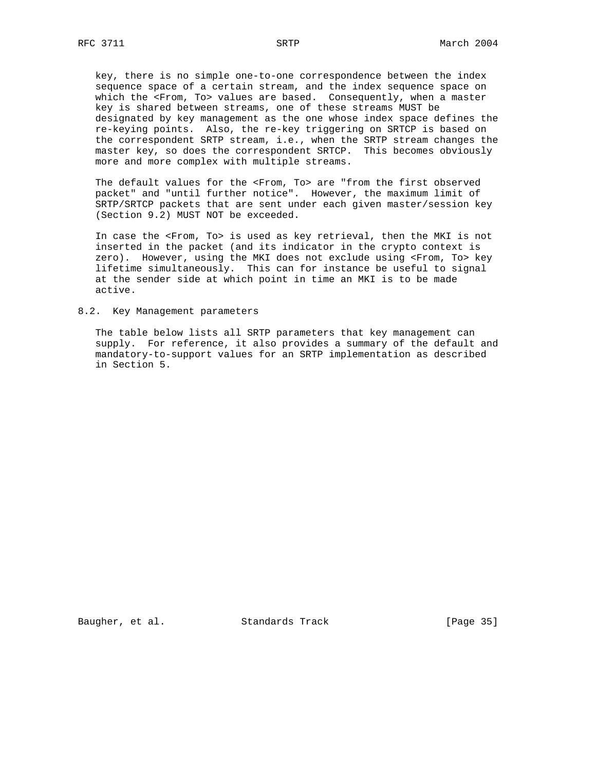key, there is no simple one-to-one correspondence between the index sequence space of a certain stream, and the index sequence space on which the <From, To> values are based. Consequently, when a master key is shared between streams, one of these streams MUST be designated by key management as the one whose index space defines the re-keying points. Also, the re-key triggering on SRTCP is based on the correspondent SRTP stream, i.e., when the SRTP stream changes the master key, so does the correspondent SRTCP. This becomes obviously more and more complex with multiple streams.

 The default values for the <From, To> are "from the first observed packet" and "until further notice". However, the maximum limit of SRTP/SRTCP packets that are sent under each given master/session key (Section 9.2) MUST NOT be exceeded.

 In case the <From, To> is used as key retrieval, then the MKI is not inserted in the packet (and its indicator in the crypto context is zero). However, using the MKI does not exclude using <From, To> key lifetime simultaneously. This can for instance be useful to signal at the sender side at which point in time an MKI is to be made active.

#### 8.2. Key Management parameters

 The table below lists all SRTP parameters that key management can supply. For reference, it also provides a summary of the default and mandatory-to-support values for an SRTP implementation as described in Section 5.

Baugher, et al. Standards Track [Page 35]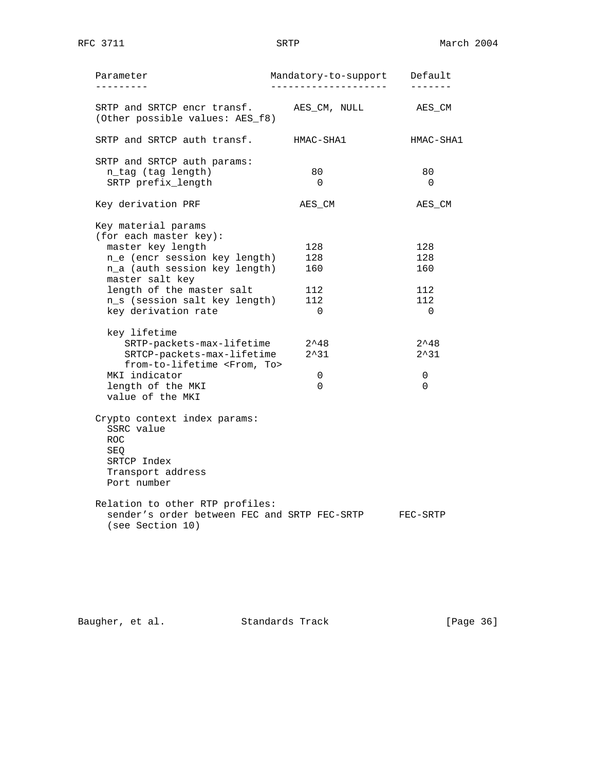| Parameter<br>-------                                           | Mandatory-to-support | Default        |
|----------------------------------------------------------------|----------------------|----------------|
| SRTP and SRTCP encr transf.<br>(Other possible values: AES_f8) | AES CM, NULL         | AES_CM         |
| SRTP and SRTCP auth transf.                                    | HMAC-SHA1            | HMAC-SHA1      |
| SRTP and SRTCP auth params:                                    |                      |                |
| n_tag (tag length)<br>SRTP prefix_length                       | 80<br>$\Omega$       | 80<br>$\Omega$ |
|                                                                |                      |                |
| Key derivation PRF                                             | AES CM               | AES CM         |
| Key material params                                            |                      |                |
| (for each master key):<br>master key length                    | 128                  | 128            |
| n_e (encr session key length)                                  | 128                  | 128            |
| n_a (auth session key length)                                  | 160                  | 160            |
| master salt key                                                |                      |                |
| length of the master salt                                      | 112                  | 112            |
| n_s (session salt key length)                                  | 112                  | 112            |
| key derivation rate                                            | $\Omega$             | $\Omega$       |
| key lifetime                                                   |                      |                |
| SRTP-packets-max-lifetime                                      | $2^{\wedge}48$       | $2^{\wedge}48$ |
| SRTCP-packets-max-lifetime                                     | $2^{\lambda}31$      | $2^{\wedge}31$ |
| from-to-lifetime <from, to=""></from,>                         |                      |                |
| MKI indicator                                                  | 0                    | 0              |
| length of the MKI                                              | $\Omega$             | $\Omega$       |
| value of the MKI                                               |                      |                |
| Crypto context index params:                                   |                      |                |
| SSRC value                                                     |                      |                |
| <b>ROC</b>                                                     |                      |                |
| SEO                                                            |                      |                |
| SRTCP Index                                                    |                      |                |
| Transport address                                              |                      |                |
| Port number                                                    |                      |                |
| Relation to other RTP profiles:                                |                      |                |
| sender's order between FEC and SRTP FEC-SRTP                   |                      | FEC-SRTP       |
| (see Section 10)                                               |                      |                |

Baugher, et al. Standards Track [Page 36]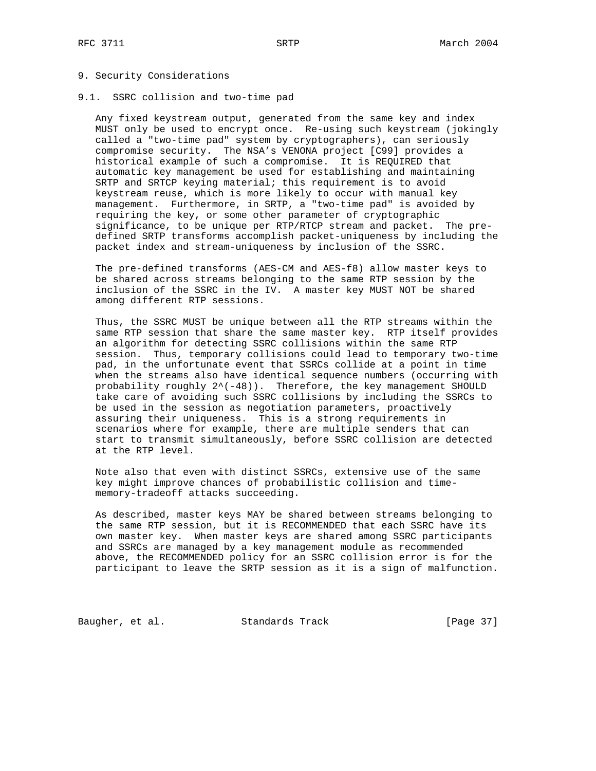## 9. Security Considerations

9.1. SSRC collision and two-time pad

 Any fixed keystream output, generated from the same key and index MUST only be used to encrypt once. Re-using such keystream (jokingly called a "two-time pad" system by cryptographers), can seriously compromise security. The NSA's VENONA project [C99] provides a historical example of such a compromise. It is REQUIRED that automatic key management be used for establishing and maintaining SRTP and SRTCP keying material; this requirement is to avoid keystream reuse, which is more likely to occur with manual key management. Furthermore, in SRTP, a "two-time pad" is avoided by requiring the key, or some other parameter of cryptographic significance, to be unique per RTP/RTCP stream and packet. The pre defined SRTP transforms accomplish packet-uniqueness by including the packet index and stream-uniqueness by inclusion of the SSRC.

 The pre-defined transforms (AES-CM and AES-f8) allow master keys to be shared across streams belonging to the same RTP session by the inclusion of the SSRC in the IV. A master key MUST NOT be shared among different RTP sessions.

 Thus, the SSRC MUST be unique between all the RTP streams within the same RTP session that share the same master key. RTP itself provides an algorithm for detecting SSRC collisions within the same RTP session. Thus, temporary collisions could lead to temporary two-time pad, in the unfortunate event that SSRCs collide at a point in time when the streams also have identical sequence numbers (occurring with probability roughly  $2^(-48)$ ). Therefore, the key management SHOULD take care of avoiding such SSRC collisions by including the SSRCs to be used in the session as negotiation parameters, proactively assuring their uniqueness. This is a strong requirements in scenarios where for example, there are multiple senders that can start to transmit simultaneously, before SSRC collision are detected at the RTP level.

 Note also that even with distinct SSRCs, extensive use of the same key might improve chances of probabilistic collision and time memory-tradeoff attacks succeeding.

 As described, master keys MAY be shared between streams belonging to the same RTP session, but it is RECOMMENDED that each SSRC have its own master key. When master keys are shared among SSRC participants and SSRCs are managed by a key management module as recommended above, the RECOMMENDED policy for an SSRC collision error is for the participant to leave the SRTP session as it is a sign of malfunction.

Baugher, et al. Standards Track [Page 37]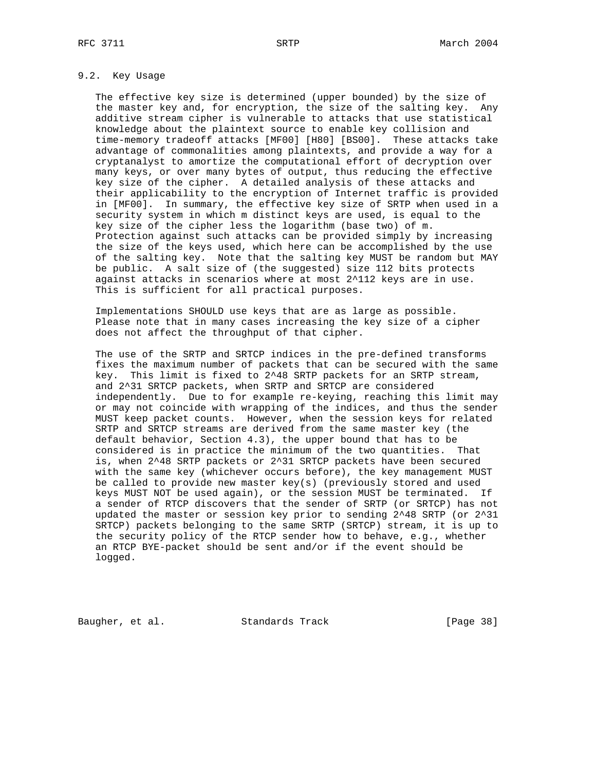# 9.2. Key Usage

 The effective key size is determined (upper bounded) by the size of the master key and, for encryption, the size of the salting key. Any additive stream cipher is vulnerable to attacks that use statistical knowledge about the plaintext source to enable key collision and time-memory tradeoff attacks [MF00] [H80] [BS00]. These attacks take advantage of commonalities among plaintexts, and provide a way for a cryptanalyst to amortize the computational effort of decryption over many keys, or over many bytes of output, thus reducing the effective key size of the cipher. A detailed analysis of these attacks and their applicability to the encryption of Internet traffic is provided in [MF00]. In summary, the effective key size of SRTP when used in a security system in which m distinct keys are used, is equal to the key size of the cipher less the logarithm (base two) of m. Protection against such attacks can be provided simply by increasing the size of the keys used, which here can be accomplished by the use of the salting key. Note that the salting key MUST be random but MAY be public. A salt size of (the suggested) size 112 bits protects against attacks in scenarios where at most 2^112 keys are in use. This is sufficient for all practical purposes.

 Implementations SHOULD use keys that are as large as possible. Please note that in many cases increasing the key size of a cipher does not affect the throughput of that cipher.

 The use of the SRTP and SRTCP indices in the pre-defined transforms fixes the maximum number of packets that can be secured with the same key. This limit is fixed to 2^48 SRTP packets for an SRTP stream, and 2^31 SRTCP packets, when SRTP and SRTCP are considered independently. Due to for example re-keying, reaching this limit may or may not coincide with wrapping of the indices, and thus the sender MUST keep packet counts. However, when the session keys for related SRTP and SRTCP streams are derived from the same master key (the default behavior, Section 4.3), the upper bound that has to be considered is in practice the minimum of the two quantities. That is, when 2^48 SRTP packets or 2^31 SRTCP packets have been secured with the same key (whichever occurs before), the key management MUST be called to provide new master key(s) (previously stored and used keys MUST NOT be used again), or the session MUST be terminated. If a sender of RTCP discovers that the sender of SRTP (or SRTCP) has not updated the master or session key prior to sending 2^48 SRTP (or 2^31 SRTCP) packets belonging to the same SRTP (SRTCP) stream, it is up to the security policy of the RTCP sender how to behave, e.g., whether an RTCP BYE-packet should be sent and/or if the event should be logged.

Baugher, et al. Standards Track [Page 38]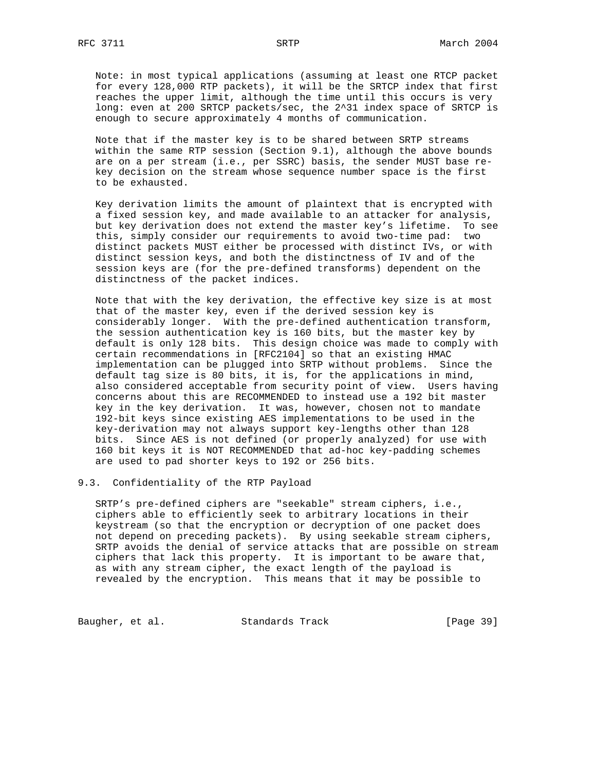Note: in most typical applications (assuming at least one RTCP packet for every 128,000 RTP packets), it will be the SRTCP index that first reaches the upper limit, although the time until this occurs is very long: even at 200 SRTCP packets/sec, the 2^31 index space of SRTCP is enough to secure approximately 4 months of communication.

 Note that if the master key is to be shared between SRTP streams within the same RTP session (Section 9.1), although the above bounds are on a per stream (i.e., per SSRC) basis, the sender MUST base re key decision on the stream whose sequence number space is the first to be exhausted.

 Key derivation limits the amount of plaintext that is encrypted with a fixed session key, and made available to an attacker for analysis, but key derivation does not extend the master key's lifetime. To see this, simply consider our requirements to avoid two-time pad: two distinct packets MUST either be processed with distinct IVs, or with distinct session keys, and both the distinctness of IV and of the session keys are (for the pre-defined transforms) dependent on the distinctness of the packet indices.

 Note that with the key derivation, the effective key size is at most that of the master key, even if the derived session key is considerably longer. With the pre-defined authentication transform, the session authentication key is 160 bits, but the master key by default is only 128 bits. This design choice was made to comply with certain recommendations in [RFC2104] so that an existing HMAC implementation can be plugged into SRTP without problems. Since the default tag size is 80 bits, it is, for the applications in mind, also considered acceptable from security point of view. Users having concerns about this are RECOMMENDED to instead use a 192 bit master key in the key derivation. It was, however, chosen not to mandate 192-bit keys since existing AES implementations to be used in the key-derivation may not always support key-lengths other than 128 bits. Since AES is not defined (or properly analyzed) for use with 160 bit keys it is NOT RECOMMENDED that ad-hoc key-padding schemes are used to pad shorter keys to 192 or 256 bits.

## 9.3. Confidentiality of the RTP Payload

 SRTP's pre-defined ciphers are "seekable" stream ciphers, i.e., ciphers able to efficiently seek to arbitrary locations in their keystream (so that the encryption or decryption of one packet does not depend on preceding packets). By using seekable stream ciphers, SRTP avoids the denial of service attacks that are possible on stream ciphers that lack this property. It is important to be aware that, as with any stream cipher, the exact length of the payload is revealed by the encryption. This means that it may be possible to

Baugher, et al. Standards Track [Page 39]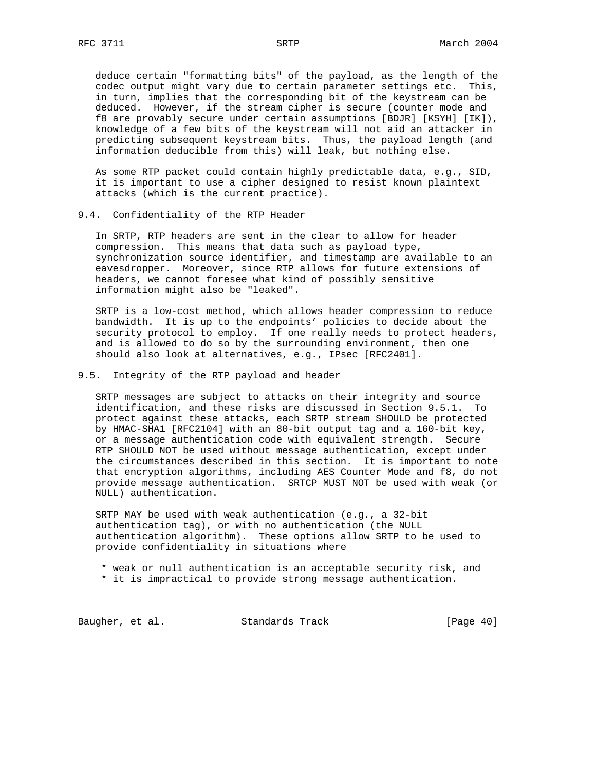deduce certain "formatting bits" of the payload, as the length of the codec output might vary due to certain parameter settings etc. This, in turn, implies that the corresponding bit of the keystream can be deduced. However, if the stream cipher is secure (counter mode and f8 are provably secure under certain assumptions [BDJR] [KSYH] [IK]), knowledge of a few bits of the keystream will not aid an attacker in predicting subsequent keystream bits. Thus, the payload length (and information deducible from this) will leak, but nothing else.

 As some RTP packet could contain highly predictable data, e.g., SID, it is important to use a cipher designed to resist known plaintext attacks (which is the current practice).

## 9.4. Confidentiality of the RTP Header

 In SRTP, RTP headers are sent in the clear to allow for header compression. This means that data such as payload type, synchronization source identifier, and timestamp are available to an eavesdropper. Moreover, since RTP allows for future extensions of headers, we cannot foresee what kind of possibly sensitive information might also be "leaked".

 SRTP is a low-cost method, which allows header compression to reduce bandwidth. It is up to the endpoints' policies to decide about the security protocol to employ. If one really needs to protect headers, and is allowed to do so by the surrounding environment, then one should also look at alternatives, e.g., IPsec [RFC2401].

## 9.5. Integrity of the RTP payload and header

 SRTP messages are subject to attacks on their integrity and source identification, and these risks are discussed in Section 9.5.1. To protect against these attacks, each SRTP stream SHOULD be protected by HMAC-SHA1 [RFC2104] with an 80-bit output tag and a 160-bit key, or a message authentication code with equivalent strength. Secure RTP SHOULD NOT be used without message authentication, except under the circumstances described in this section. It is important to note that encryption algorithms, including AES Counter Mode and f8, do not provide message authentication. SRTCP MUST NOT be used with weak (or NULL) authentication.

 SRTP MAY be used with weak authentication (e.g., a 32-bit authentication tag), or with no authentication (the NULL authentication algorithm). These options allow SRTP to be used to provide confidentiality in situations where

\* weak or null authentication is an acceptable security risk, and

\* it is impractical to provide strong message authentication.

Baugher, et al. Standards Track [Page 40]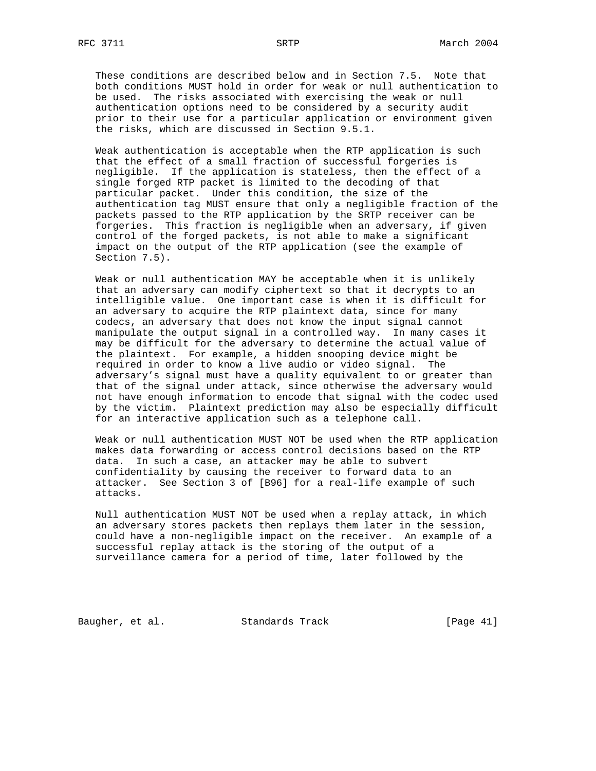These conditions are described below and in Section 7.5. Note that both conditions MUST hold in order for weak or null authentication to be used. The risks associated with exercising the weak or null authentication options need to be considered by a security audit prior to their use for a particular application or environment given the risks, which are discussed in Section 9.5.1.

 Weak authentication is acceptable when the RTP application is such that the effect of a small fraction of successful forgeries is negligible. If the application is stateless, then the effect of a single forged RTP packet is limited to the decoding of that particular packet. Under this condition, the size of the authentication tag MUST ensure that only a negligible fraction of the packets passed to the RTP application by the SRTP receiver can be forgeries. This fraction is negligible when an adversary, if given control of the forged packets, is not able to make a significant impact on the output of the RTP application (see the example of Section 7.5).

 Weak or null authentication MAY be acceptable when it is unlikely that an adversary can modify ciphertext so that it decrypts to an intelligible value. One important case is when it is difficult for an adversary to acquire the RTP plaintext data, since for many codecs, an adversary that does not know the input signal cannot manipulate the output signal in a controlled way. In many cases it may be difficult for the adversary to determine the actual value of the plaintext. For example, a hidden snooping device might be required in order to know a live audio or video signal. The adversary's signal must have a quality equivalent to or greater than that of the signal under attack, since otherwise the adversary would not have enough information to encode that signal with the codec used by the victim. Plaintext prediction may also be especially difficult for an interactive application such as a telephone call.

 Weak or null authentication MUST NOT be used when the RTP application makes data forwarding or access control decisions based on the RTP data. In such a case, an attacker may be able to subvert confidentiality by causing the receiver to forward data to an attacker. See Section 3 of [B96] for a real-life example of such attacks.

 Null authentication MUST NOT be used when a replay attack, in which an adversary stores packets then replays them later in the session, could have a non-negligible impact on the receiver. An example of a successful replay attack is the storing of the output of a surveillance camera for a period of time, later followed by the

Baugher, et al. Standards Track [Page 41]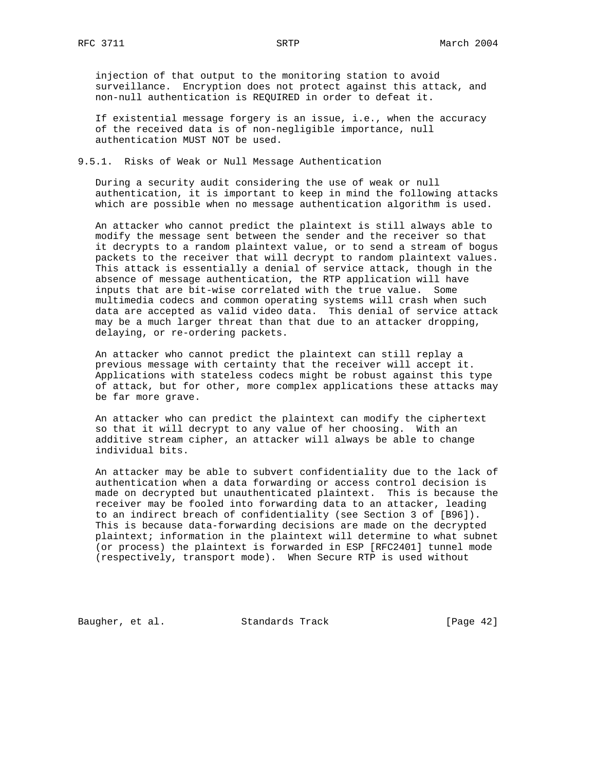injection of that output to the monitoring station to avoid surveillance. Encryption does not protect against this attack, and non-null authentication is REQUIRED in order to defeat it.

 If existential message forgery is an issue, i.e., when the accuracy of the received data is of non-negligible importance, null authentication MUST NOT be used.

9.5.1. Risks of Weak or Null Message Authentication

 During a security audit considering the use of weak or null authentication, it is important to keep in mind the following attacks which are possible when no message authentication algorithm is used.

 An attacker who cannot predict the plaintext is still always able to modify the message sent between the sender and the receiver so that it decrypts to a random plaintext value, or to send a stream of bogus packets to the receiver that will decrypt to random plaintext values. This attack is essentially a denial of service attack, though in the absence of message authentication, the RTP application will have inputs that are bit-wise correlated with the true value. Some multimedia codecs and common operating systems will crash when such data are accepted as valid video data. This denial of service attack may be a much larger threat than that due to an attacker dropping, delaying, or re-ordering packets.

 An attacker who cannot predict the plaintext can still replay a previous message with certainty that the receiver will accept it. Applications with stateless codecs might be robust against this type of attack, but for other, more complex applications these attacks may be far more grave.

 An attacker who can predict the plaintext can modify the ciphertext so that it will decrypt to any value of her choosing. With an additive stream cipher, an attacker will always be able to change individual bits.

 An attacker may be able to subvert confidentiality due to the lack of authentication when a data forwarding or access control decision is made on decrypted but unauthenticated plaintext. This is because the receiver may be fooled into forwarding data to an attacker, leading to an indirect breach of confidentiality (see Section 3 of [B96]). This is because data-forwarding decisions are made on the decrypted plaintext; information in the plaintext will determine to what subnet (or process) the plaintext is forwarded in ESP [RFC2401] tunnel mode (respectively, transport mode). When Secure RTP is used without

Baugher, et al. Standards Track [Page 42]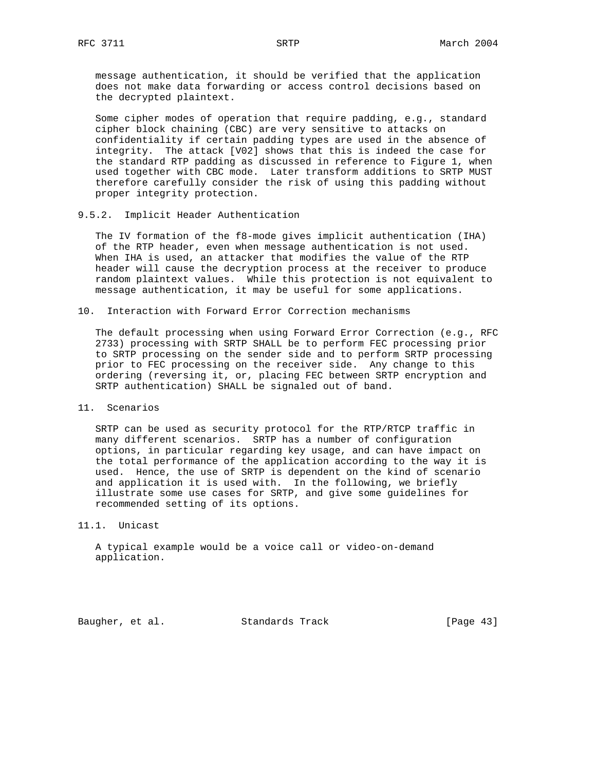message authentication, it should be verified that the application does not make data forwarding or access control decisions based on the decrypted plaintext.

 Some cipher modes of operation that require padding, e.g., standard cipher block chaining (CBC) are very sensitive to attacks on confidentiality if certain padding types are used in the absence of integrity. The attack [V02] shows that this is indeed the case for the standard RTP padding as discussed in reference to Figure 1, when used together with CBC mode. Later transform additions to SRTP MUST therefore carefully consider the risk of using this padding without proper integrity protection.

## 9.5.2. Implicit Header Authentication

 The IV formation of the f8-mode gives implicit authentication (IHA) of the RTP header, even when message authentication is not used. When IHA is used, an attacker that modifies the value of the RTP header will cause the decryption process at the receiver to produce random plaintext values. While this protection is not equivalent to message authentication, it may be useful for some applications.

#### 10. Interaction with Forward Error Correction mechanisms

 The default processing when using Forward Error Correction (e.g., RFC 2733) processing with SRTP SHALL be to perform FEC processing prior to SRTP processing on the sender side and to perform SRTP processing prior to FEC processing on the receiver side. Any change to this ordering (reversing it, or, placing FEC between SRTP encryption and SRTP authentication) SHALL be signaled out of band.

## 11. Scenarios

 SRTP can be used as security protocol for the RTP/RTCP traffic in many different scenarios. SRTP has a number of configuration options, in particular regarding key usage, and can have impact on the total performance of the application according to the way it is used. Hence, the use of SRTP is dependent on the kind of scenario and application it is used with. In the following, we briefly illustrate some use cases for SRTP, and give some guidelines for recommended setting of its options.

# 11.1. Unicast

 A typical example would be a voice call or video-on-demand application.

Baugher, et al. Standards Track [Page 43]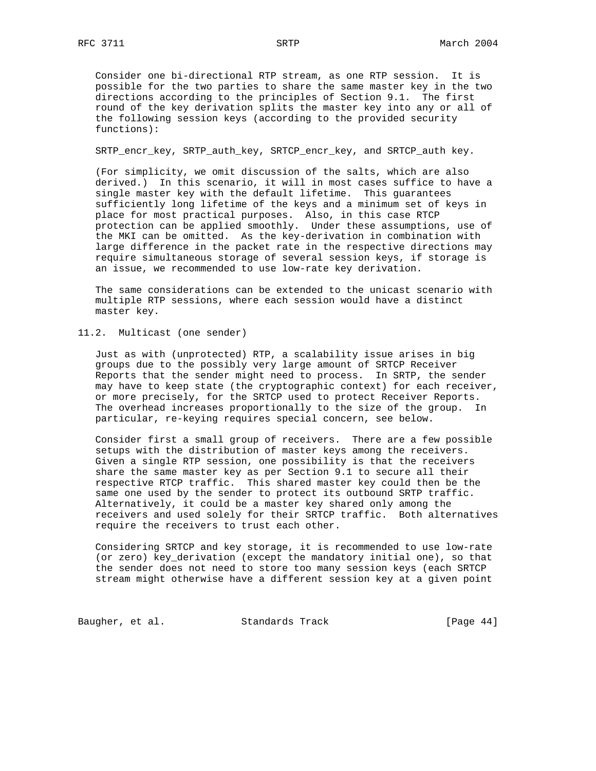Consider one bi-directional RTP stream, as one RTP session. It is possible for the two parties to share the same master key in the two directions according to the principles of Section 9.1. The first round of the key derivation splits the master key into any or all of the following session keys (according to the provided security functions):

SRTP\_encr\_key, SRTP\_auth\_key, SRTCP\_encr\_key, and SRTCP\_auth key.

 (For simplicity, we omit discussion of the salts, which are also derived.) In this scenario, it will in most cases suffice to have a single master key with the default lifetime. This guarantees sufficiently long lifetime of the keys and a minimum set of keys in place for most practical purposes. Also, in this case RTCP protection can be applied smoothly. Under these assumptions, use of the MKI can be omitted. As the key-derivation in combination with large difference in the packet rate in the respective directions may require simultaneous storage of several session keys, if storage is an issue, we recommended to use low-rate key derivation.

 The same considerations can be extended to the unicast scenario with multiple RTP sessions, where each session would have a distinct master key.

11.2. Multicast (one sender)

 Just as with (unprotected) RTP, a scalability issue arises in big groups due to the possibly very large amount of SRTCP Receiver Reports that the sender might need to process. In SRTP, the sender may have to keep state (the cryptographic context) for each receiver, or more precisely, for the SRTCP used to protect Receiver Reports. The overhead increases proportionally to the size of the group. In particular, re-keying requires special concern, see below.

 Consider first a small group of receivers. There are a few possible setups with the distribution of master keys among the receivers. Given a single RTP session, one possibility is that the receivers share the same master key as per Section 9.1 to secure all their respective RTCP traffic. This shared master key could then be the same one used by the sender to protect its outbound SRTP traffic. Alternatively, it could be a master key shared only among the receivers and used solely for their SRTCP traffic. Both alternatives require the receivers to trust each other.

 Considering SRTCP and key storage, it is recommended to use low-rate (or zero) key\_derivation (except the mandatory initial one), so that the sender does not need to store too many session keys (each SRTCP stream might otherwise have a different session key at a given point

Baugher, et al. Standards Track [Page 44]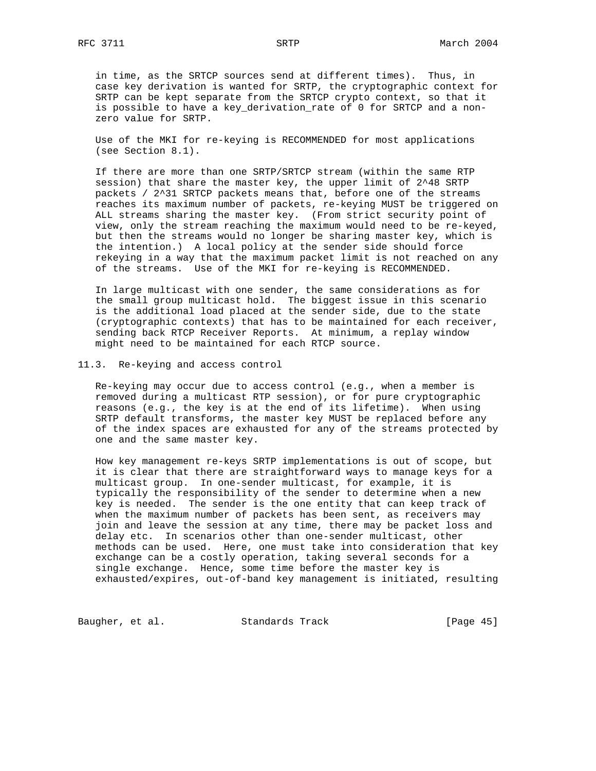in time, as the SRTCP sources send at different times). Thus, in case key derivation is wanted for SRTP, the cryptographic context for SRTP can be kept separate from the SRTCP crypto context, so that it is possible to have a key\_derivation\_rate of 0 for SRTCP and a non zero value for SRTP.

 Use of the MKI for re-keying is RECOMMENDED for most applications (see Section 8.1).

 If there are more than one SRTP/SRTCP stream (within the same RTP session) that share the master key, the upper limit of 2^48 SRTP packets / 2^31 SRTCP packets means that, before one of the streams reaches its maximum number of packets, re-keying MUST be triggered on ALL streams sharing the master key. (From strict security point of view, only the stream reaching the maximum would need to be re-keyed, but then the streams would no longer be sharing master key, which is the intention.) A local policy at the sender side should force rekeying in a way that the maximum packet limit is not reached on any of the streams. Use of the MKI for re-keying is RECOMMENDED.

 In large multicast with one sender, the same considerations as for the small group multicast hold. The biggest issue in this scenario is the additional load placed at the sender side, due to the state (cryptographic contexts) that has to be maintained for each receiver, sending back RTCP Receiver Reports. At minimum, a replay window might need to be maintained for each RTCP source.

## 11.3. Re-keying and access control

 Re-keying may occur due to access control (e.g., when a member is removed during a multicast RTP session), or for pure cryptographic reasons (e.g., the key is at the end of its lifetime). When using SRTP default transforms, the master key MUST be replaced before any of the index spaces are exhausted for any of the streams protected by one and the same master key.

 How key management re-keys SRTP implementations is out of scope, but it is clear that there are straightforward ways to manage keys for a multicast group. In one-sender multicast, for example, it is typically the responsibility of the sender to determine when a new key is needed. The sender is the one entity that can keep track of when the maximum number of packets has been sent, as receivers may join and leave the session at any time, there may be packet loss and delay etc. In scenarios other than one-sender multicast, other methods can be used. Here, one must take into consideration that key exchange can be a costly operation, taking several seconds for a single exchange. Hence, some time before the master key is exhausted/expires, out-of-band key management is initiated, resulting

Baugher, et al. Standards Track [Page 45]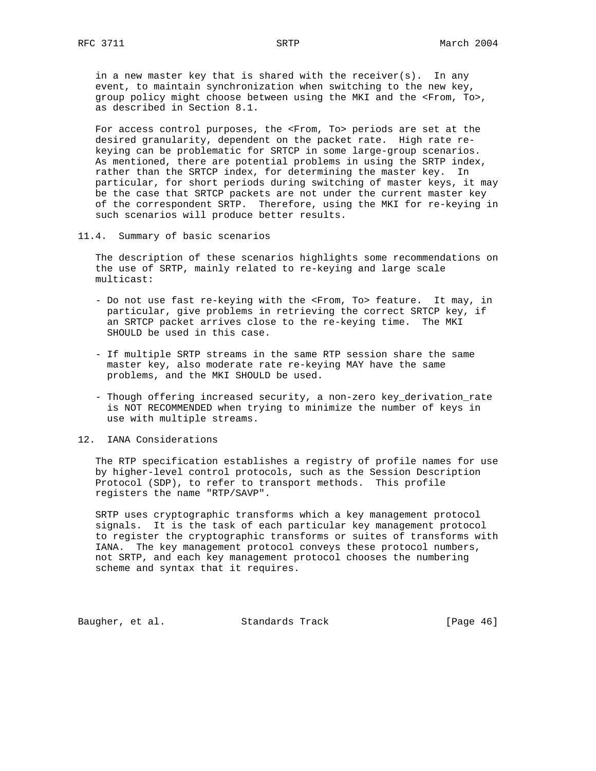in a new master key that is shared with the receiver(s). In any event, to maintain synchronization when switching to the new key, group policy might choose between using the MKI and the <From, To>, as described in Section 8.1.

 For access control purposes, the <From, To> periods are set at the desired granularity, dependent on the packet rate. High rate re keying can be problematic for SRTCP in some large-group scenarios. As mentioned, there are potential problems in using the SRTP index, rather than the SRTCP index, for determining the master key. In particular, for short periods during switching of master keys, it may be the case that SRTCP packets are not under the current master key of the correspondent SRTP. Therefore, using the MKI for re-keying in such scenarios will produce better results.

11.4. Summary of basic scenarios

 The description of these scenarios highlights some recommendations on the use of SRTP, mainly related to re-keying and large scale multicast:

- Do not use fast re-keying with the <From, To> feature. It may, in particular, give problems in retrieving the correct SRTCP key, if an SRTCP packet arrives close to the re-keying time. The MKI SHOULD be used in this case.
- If multiple SRTP streams in the same RTP session share the same master key, also moderate rate re-keying MAY have the same problems, and the MKI SHOULD be used.
- Though offering increased security, a non-zero key\_derivation\_rate is NOT RECOMMENDED when trying to minimize the number of keys in use with multiple streams.

## 12. IANA Considerations

 The RTP specification establishes a registry of profile names for use by higher-level control protocols, such as the Session Description Protocol (SDP), to refer to transport methods. This profile registers the name "RTP/SAVP".

 SRTP uses cryptographic transforms which a key management protocol signals. It is the task of each particular key management protocol to register the cryptographic transforms or suites of transforms with IANA. The key management protocol conveys these protocol numbers, not SRTP, and each key management protocol chooses the numbering scheme and syntax that it requires.

Baugher, et al. Standards Track [Page 46]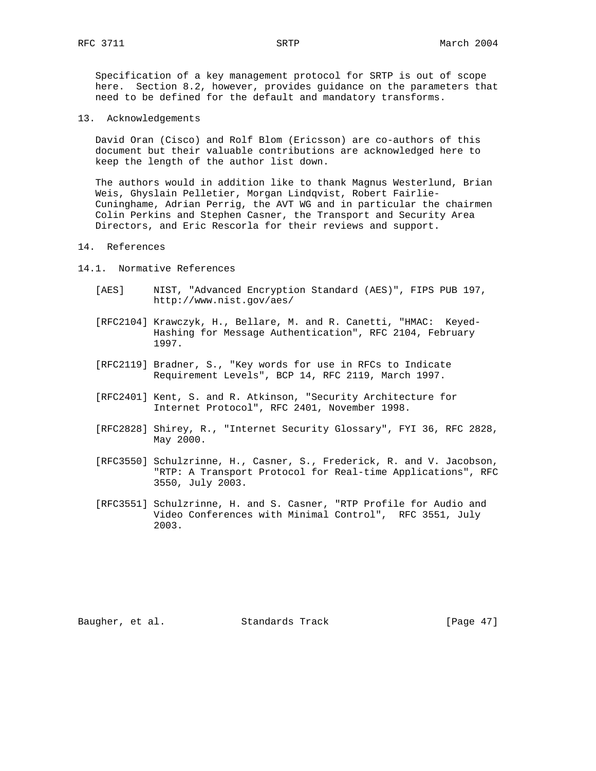Specification of a key management protocol for SRTP is out of scope here. Section 8.2, however, provides guidance on the parameters that need to be defined for the default and mandatory transforms.

13. Acknowledgements

 David Oran (Cisco) and Rolf Blom (Ericsson) are co-authors of this document but their valuable contributions are acknowledged here to keep the length of the author list down.

 The authors would in addition like to thank Magnus Westerlund, Brian Weis, Ghyslain Pelletier, Morgan Lindqvist, Robert Fairlie- Cuninghame, Adrian Perrig, the AVT WG and in particular the chairmen Colin Perkins and Stephen Casner, the Transport and Security Area Directors, and Eric Rescorla for their reviews and support.

#### 14. References

- 14.1. Normative References
	- [AES] NIST, "Advanced Encryption Standard (AES)", FIPS PUB 197, http://www.nist.gov/aes/
	- [RFC2104] Krawczyk, H., Bellare, M. and R. Canetti, "HMAC: Keyed- Hashing for Message Authentication", RFC 2104, February 1997.
	- [RFC2119] Bradner, S., "Key words for use in RFCs to Indicate Requirement Levels", BCP 14, RFC 2119, March 1997.
	- [RFC2401] Kent, S. and R. Atkinson, "Security Architecture for Internet Protocol", RFC 2401, November 1998.
	- [RFC2828] Shirey, R., "Internet Security Glossary", FYI 36, RFC 2828, May 2000.
	- [RFC3550] Schulzrinne, H., Casner, S., Frederick, R. and V. Jacobson, "RTP: A Transport Protocol for Real-time Applications", RFC 3550, July 2003.
	- [RFC3551] Schulzrinne, H. and S. Casner, "RTP Profile for Audio and Video Conferences with Minimal Control", RFC 3551, July 2003.

Baugher, et al. Standards Track [Page 47]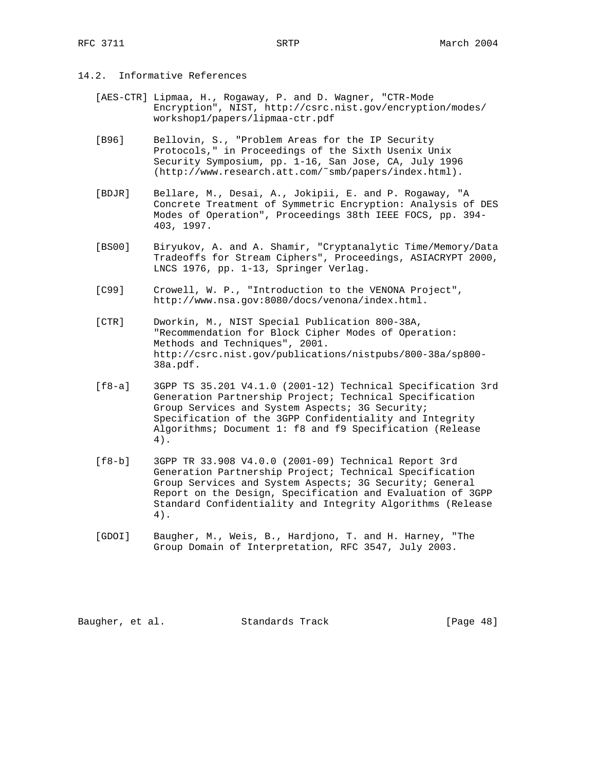# 14.2. Informative References

- [AES-CTR] Lipmaa, H., Rogaway, P. and D. Wagner, "CTR-Mode Encryption", NIST, http://csrc.nist.gov/encryption/modes/ workshop1/papers/lipmaa-ctr.pdf
- [B96] Bellovin, S., "Problem Areas for the IP Security Protocols," in Proceedings of the Sixth Usenix Unix Security Symposium, pp. 1-16, San Jose, CA, July 1996 (http://www.research.att.com/˜smb/papers/index.html).
- [BDJR] Bellare, M., Desai, A., Jokipii, E. and P. Rogaway, "A Concrete Treatment of Symmetric Encryption: Analysis of DES Modes of Operation", Proceedings 38th IEEE FOCS, pp. 394- 403, 1997.
- [BS00] Biryukov, A. and A. Shamir, "Cryptanalytic Time/Memory/Data Tradeoffs for Stream Ciphers", Proceedings, ASIACRYPT 2000, LNCS 1976, pp. 1-13, Springer Verlag.
- [C99] Crowell, W. P., "Introduction to the VENONA Project", http://www.nsa.gov:8080/docs/venona/index.html.
- [CTR] Dworkin, M., NIST Special Publication 800-38A, "Recommendation for Block Cipher Modes of Operation: Methods and Techniques", 2001. http://csrc.nist.gov/publications/nistpubs/800-38a/sp800- 38a.pdf.
- [f8-a] 3GPP TS 35.201 V4.1.0 (2001-12) Technical Specification 3rd Generation Partnership Project; Technical Specification Group Services and System Aspects; 3G Security; Specification of the 3GPP Confidentiality and Integrity Algorithms; Document 1: f8 and f9 Specification (Release 4).
- [f8-b] 3GPP TR 33.908 V4.0.0 (2001-09) Technical Report 3rd Generation Partnership Project; Technical Specification Group Services and System Aspects; 3G Security; General Report on the Design, Specification and Evaluation of 3GPP Standard Confidentiality and Integrity Algorithms (Release 4).
- [GDOI] Baugher, M., Weis, B., Hardjono, T. and H. Harney, "The Group Domain of Interpretation, RFC 3547, July 2003.

Baugher, et al. Standards Track [Page 48]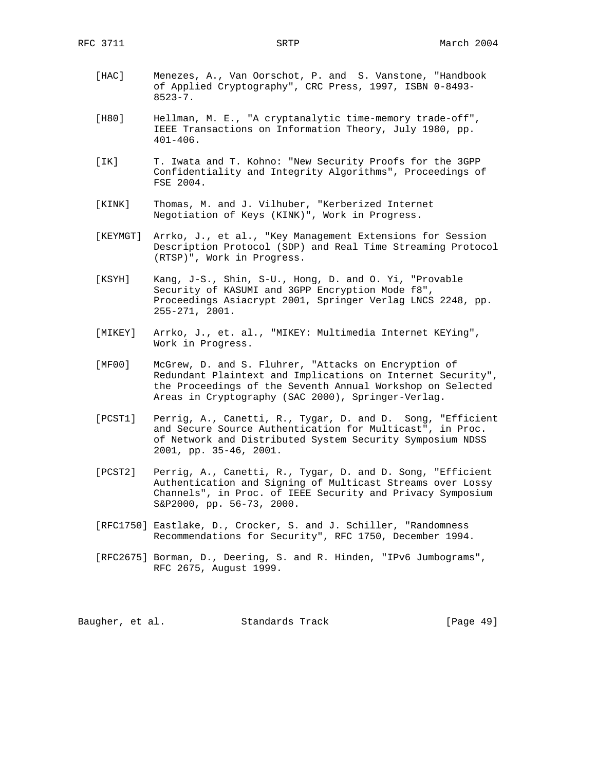- [HAC] Menezes, A., Van Oorschot, P. and S. Vanstone, "Handbook of Applied Cryptography", CRC Press, 1997, ISBN 0-8493- 8523-7.
- [H80] Hellman, M. E., "A cryptanalytic time-memory trade-off", IEEE Transactions on Information Theory, July 1980, pp. 401-406.
- [IK] T. Iwata and T. Kohno: "New Security Proofs for the 3GPP Confidentiality and Integrity Algorithms", Proceedings of FSE 2004.
- [KINK] Thomas, M. and J. Vilhuber, "Kerberized Internet Negotiation of Keys (KINK)", Work in Progress.
- [KEYMGT] Arrko, J., et al., "Key Management Extensions for Session Description Protocol (SDP) and Real Time Streaming Protocol (RTSP)", Work in Progress.
- [KSYH] Kang, J-S., Shin, S-U., Hong, D. and O. Yi, "Provable Security of KASUMI and 3GPP Encryption Mode f8", Proceedings Asiacrypt 2001, Springer Verlag LNCS 2248, pp. 255-271, 2001.
- [MIKEY] Arrko, J., et. al., "MIKEY: Multimedia Internet KEYing", Work in Progress.
- [MF00] McGrew, D. and S. Fluhrer, "Attacks on Encryption of Redundant Plaintext and Implications on Internet Security", the Proceedings of the Seventh Annual Workshop on Selected Areas in Cryptography (SAC 2000), Springer-Verlag.
- [PCST1] Perrig, A., Canetti, R., Tygar, D. and D. Song, "Efficient and Secure Source Authentication for Multicast", in Proc. of Network and Distributed System Security Symposium NDSS 2001, pp. 35-46, 2001.
- [PCST2] Perrig, A., Canetti, R., Tygar, D. and D. Song, "Efficient Authentication and Signing of Multicast Streams over Lossy Channels", in Proc. of IEEE Security and Privacy Symposium S&P2000, pp. 56-73, 2000.
- [RFC1750] Eastlake, D., Crocker, S. and J. Schiller, "Randomness Recommendations for Security", RFC 1750, December 1994.
- [RFC2675] Borman, D., Deering, S. and R. Hinden, "IPv6 Jumbograms", RFC 2675, August 1999.

Baugher, et al. Standards Track [Page 49]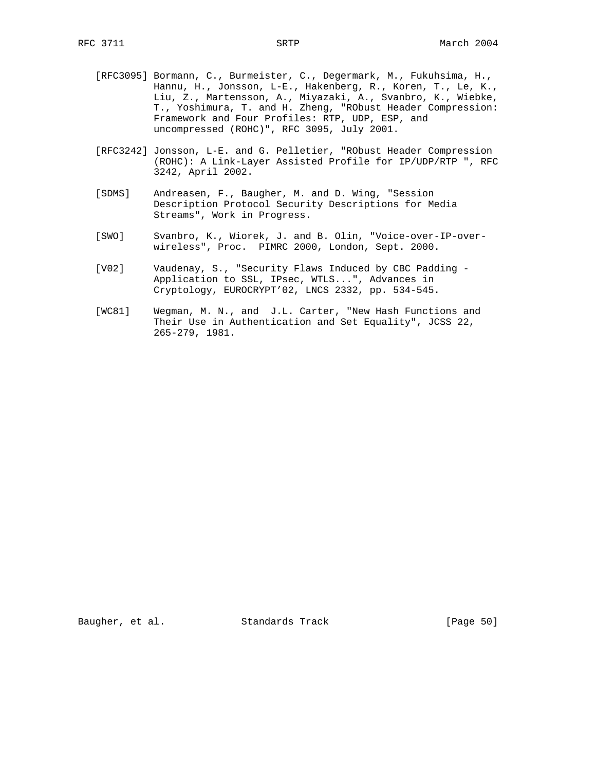- [RFC3095] Bormann, C., Burmeister, C., Degermark, M., Fukuhsima, H., Hannu, H., Jonsson, L-E., Hakenberg, R., Koren, T., Le, K., Liu, Z., Martensson, A., Miyazaki, A., Svanbro, K., Wiebke, T., Yoshimura, T. and H. Zheng, "RObust Header Compression: Framework and Four Profiles: RTP, UDP, ESP, and uncompressed (ROHC)", RFC 3095, July 2001.
- [RFC3242] Jonsson, L-E. and G. Pelletier, "RObust Header Compression (ROHC): A Link-Layer Assisted Profile for IP/UDP/RTP ", RFC 3242, April 2002.
- [SDMS] Andreasen, F., Baugher, M. and D. Wing, "Session Description Protocol Security Descriptions for Media Streams", Work in Progress.
- [SWO] Svanbro, K., Wiorek, J. and B. Olin, "Voice-over-IP-over wireless", Proc. PIMRC 2000, London, Sept. 2000.
- [V02] Vaudenay, S., "Security Flaws Induced by CBC Padding Application to SSL, IPsec, WTLS...", Advances in Cryptology, EUROCRYPT'02, LNCS 2332, pp. 534-545.
- [WC81] Wegman, M. N., and J.L. Carter, "New Hash Functions and Their Use in Authentication and Set Equality", JCSS 22, 265-279, 1981.

Baugher, et al. Standards Track [Page 50]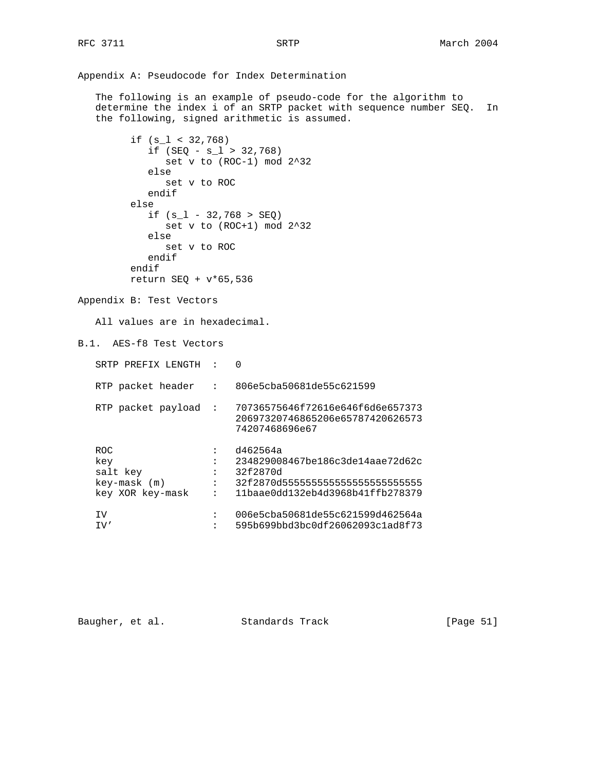Appendix A: Pseudocode for Index Determination The following is an example of pseudo-code for the algorithm to determine the index i of an SRTP packet with sequence number SEQ. In the following, signed arithmetic is assumed. if (s\_l < 32,768) if  $(SEQ - s_1 > 32,768)$  set v to (ROC-1) mod 2^32 else set v to ROC endif else if  $(s_l - 32,768 > SEQ)$  set v to (ROC+1) mod 2^32 else set v to ROC endif endif return SEQ + v\*65,536 Appendix B: Test Vectors All values are in hexadecimal. B.1. AES-f8 Test Vectors SRTP PREFIX LENGTH : 0 RTP packet header : 806e5cba50681de55c621599 RTP packet payload : 70736575646f72616e646f6d6e657373 20697320746865206e65787420626573 74207468696e67 ROC : d462564a key : 234829008467be186c3de14aae72d62c salt key : 32f2870d key-mask (m) : 32f2870d555555555555555555555555 : 11baae0dd132eb4d3968b41ffb278379 IV : 006e5cba50681de55c621599d462564a : 595b699bbd3bc0df26062093c1ad8f73

Baugher, et al. Standards Track [Page 51]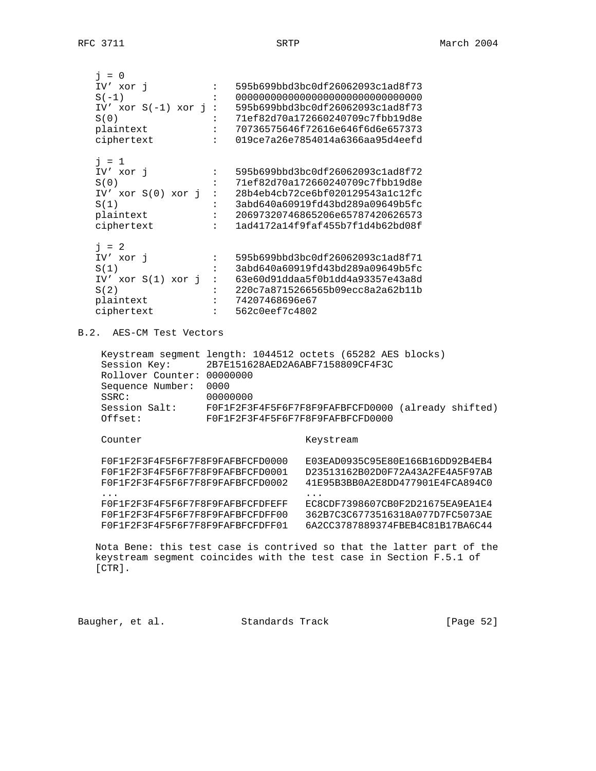| $i = 0$                    |                                            |                                                              |
|----------------------------|--------------------------------------------|--------------------------------------------------------------|
| IV' xor i                  | $\mathbf{1}$ , $\mathbf{1}$ , $\mathbf{1}$ | 595b699bbd3bc0df26062093c1ad8f73                             |
| $S(-1)$                    | $\mathbf{1}$ and $\mathbf{1}$              |                                                              |
|                            |                                            | IV' xor $S(-1)$ xor $i: 595b699bbd3bc0df26062093c1ad8f73$    |
| S(0)                       |                                            | : 71ef82d70a172660240709c7fbb19d8e                           |
| plaintext                  |                                            | : 70736575646f72616e646f6d6e657373                           |
| ciphertext                 |                                            | $: 019$ ce $7a26e7854014a6366aa95d4eefd$                     |
| $j = 1$                    |                                            |                                                              |
| IV' xor i                  | $\mathbf{1}$ .                             | 595b699bbd3bc0df26062093c1ad8f72                             |
| S(0)                       |                                            | 71ef82d70a172660240709c7fbb19d8e                             |
|                            |                                            | IV' xor $S(0)$ xor $\eta$ : 28b4eb4cb72ce6bf020129543a1c12fc |
| S(1)                       |                                            | $:$ 3abd640a60919fd43bd289a09649b5fc                         |
| plaintext                  |                                            | : 20697320746865206e65787420626573                           |
| ciphertext                 |                                            | : 1ad4172a14f9faf455b7f1d4b62bd08f                           |
| $\frac{1}{2}$ = 2          |                                            |                                                              |
| IV' xor i                  | $\mathbf{1}$ , $\mathbf{1}$ , $\mathbf{1}$ | 595b699bbd3bc0df26062093clad8f71                             |
| S(1)                       | $\mathbf{1}$ and $\mathbf{1}$              | 3abd640a60919fd43bd289a09649b5fc                             |
|                            |                                            | IV' xor S(1) xor j : 63e60d91ddaa5f0b1dd4a93357e43a8d        |
| S(2)                       |                                            | : 220c7a8715266565b09ecc8a2a62b11b                           |
| plaintext                  |                                            | : 74207468696e67                                             |
| ciphertext                 |                                            | $: 562 \text{c0eef7c4802}$                                   |
| B.2. AES-CM Test Vectors   |                                            |                                                              |
|                            |                                            |                                                              |
|                            |                                            | Keystream segment length: 1044512 octets (65282 AES blocks)  |
| Session Key:               |                                            | 2B7E151628AED2A6ABF7158809CF4F3C                             |
| Rollover Counter: 00000000 |                                            |                                                              |
| Sequence Number:           | 0000                                       |                                                              |
| SSRC:                      | 00000000                                   |                                                              |

 Session Salt: F0F1F2F3F4F5F6F7F8F9FAFBFCFD0000 (already shifted) Offset: F0F1F2F3F4F5F6F7F8F9FAFBFCFD0000

Counter Keystream

| F0F1F2F3F4F5F6F7F8F9FAFBFCFD0000 | E03EAD0935C95E80E166B16DD92B4EB4 |
|----------------------------------|----------------------------------|
| F0F1F2F3F4F5F6F7F8F9FAFBFCFD0001 | D23513162B02D0F72A43A2FE4A5F97AB |
| F0F1F2F3F4F5F6F7F8F9FAFBFCFD0002 | 41E95B3BB0A2E8DD477901E4FCA894C0 |
| .                                | .                                |
| F0F1F2F3F4F5F6F7F8F9FAFBFCFDFEFF | EC8CDF7398607CB0F2D21675EA9EA1E4 |
| F0F1F2F3F4F5F6F7F8F9FAFBFCFDFF00 | 362B7C3C6773516318A077D7FC5073AE |
| F0F1F2F3F4F5F6F7F8F9FAFBFCFDFF01 | 6A2CC3787889374FBEB4C81B17BA6C44 |
|                                  |                                  |

 Nota Bene: this test case is contrived so that the latter part of the keystream segment coincides with the test case in Section F.5.1 of [CTR].

| Standards Track<br>Baugher, et al. | [Page 52] |  |
|------------------------------------|-----------|--|
|------------------------------------|-----------|--|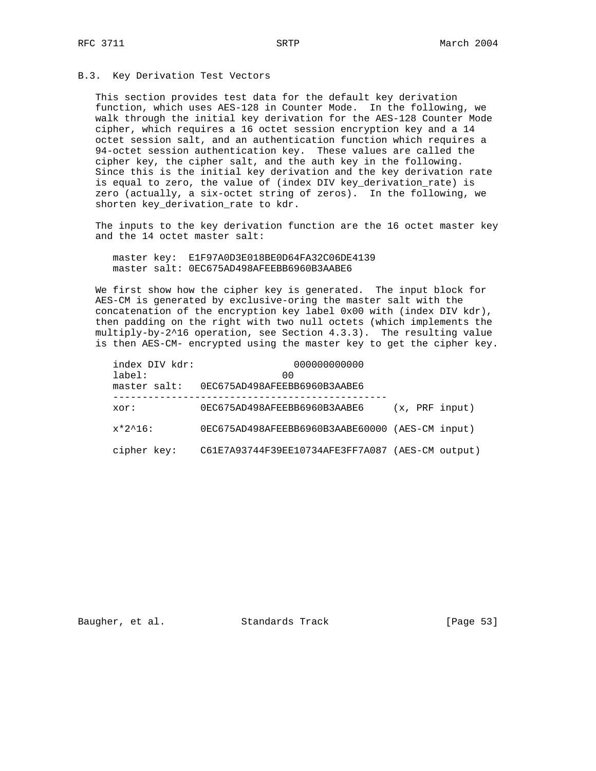## B.3. Key Derivation Test Vectors

 This section provides test data for the default key derivation function, which uses AES-128 in Counter Mode. In the following, we walk through the initial key derivation for the AES-128 Counter Mode cipher, which requires a 16 octet session encryption key and a 14 octet session salt, and an authentication function which requires a 94-octet session authentication key. These values are called the cipher key, the cipher salt, and the auth key in the following. Since this is the initial key derivation and the key derivation rate is equal to zero, the value of (index DIV key\_derivation\_rate) is zero (actually, a six-octet string of zeros). In the following, we shorten key\_derivation\_rate to kdr.

 The inputs to the key derivation function are the 16 octet master key and the 14 octet master salt:

 master key: E1F97A0D3E018BE0D64FA32C06DE4139 master salt: 0EC675AD498AFEEBB6960B3AABE6

 We first show how the cipher key is generated. The input block for AES-CM is generated by exclusive-oring the master salt with the concatenation of the encryption key label 0x00 with (index DIV kdr), then padding on the right with two null octets (which implements the multiply-by-2^16 operation, see Section 4.3.3). The resulting value is then AES-CM- encrypted using the master key to get the cipher key.

| index DIV kdr:               | 000000000000                                     |                |  |
|------------------------------|--------------------------------------------------|----------------|--|
| $label:1}$ :<br>master salt: | 00<br>0EC675AD498AFEEBB6960B3AABE6               |                |  |
| xor:                         | 0EC675AD498AFEEBB6960B3AABE6                     | (x, PRF input) |  |
| $x*2^16$ :                   | 0EC675AD498AFEEBB6960B3AABE60000 (AES-CM input)  |                |  |
| cipher key:                  | C61E7A93744F39EE10734AFE3FF7A087 (AES-CM output) |                |  |

Baugher, et al. Standards Track [Page 53]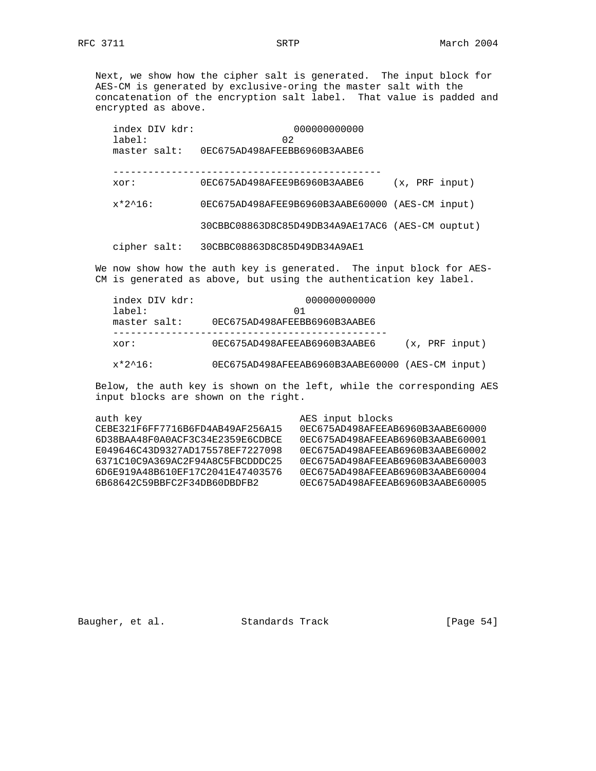Next, we show how the cipher salt is generated. The input block for AES-CM is generated by exclusive-oring the master salt with the concatenation of the encryption salt label. That value is padded and encrypted as above.

 index DIV kdr: 000000000000 label: 02 master salt: 0EC675AD498AFEEBB6960B3AABE6 --------------------------------------------- xor: 0EC675AD498AFEE9B6960B3AABE6 (x, PRF input) x\*2^16: 0EC675AD498AFEE9B6960B3AABE60000 (AES-CM input) 30CBBC08863D8C85D49DB34A9AE17AC6 (AES-CM ouptut) cipher salt: 30CBBC08863D8C85D49DB34A9AE1

We now show how the auth key is generated. The input block for AES-CM is generated as above, but using the authentication key label.

| index DIV kdr:<br>$label:1}$ : | 000000000000<br>01                              |  |  |                |  |  |
|--------------------------------|-------------------------------------------------|--|--|----------------|--|--|
| master salt:                   | 0EC675AD498AFEEBB6960B3AABE6                    |  |  |                |  |  |
| xor:                           | 0EC675AD498AFEEAB6960B3AABE6                    |  |  | (x, PRF input) |  |  |
| $x*2^16$ :                     | 0EC675AD498AFEEAB6960B3AABE60000 (AES-CM input) |  |  |                |  |  |

 Below, the auth key is shown on the left, while the corresponding AES input blocks are shown on the right.

| auth key                         | AES input blocks                 |
|----------------------------------|----------------------------------|
| CEBE321F6FF7716B6FD4AB49AF256A15 | 0EC675AD498AFEEAB6960B3AABE60000 |
| 6D38BAA48F0A0ACF3C34E2359E6CDBCE | 0EC675AD498AFEEAB6960B3AABE60001 |
| E049646C43D9327AD175578EF7227098 | 0EC675AD498AFEEAB6960B3AABE60002 |
| 6371C10C9A369AC2F94A8C5FBCDDDC25 | 0EC675AD498AFEEAB6960B3AABE60003 |
| 6D6E919A48B610EF17C2041E47403576 | 0EC675AD498AFEEAB6960B3AABE60004 |
| 6B68642C59BBFC2F34DB60DBDFB2     | 0EC675AD498AFEEAB6960B3AABE60005 |
|                                  |                                  |

Baugher, et al. Standards Track [Page 54]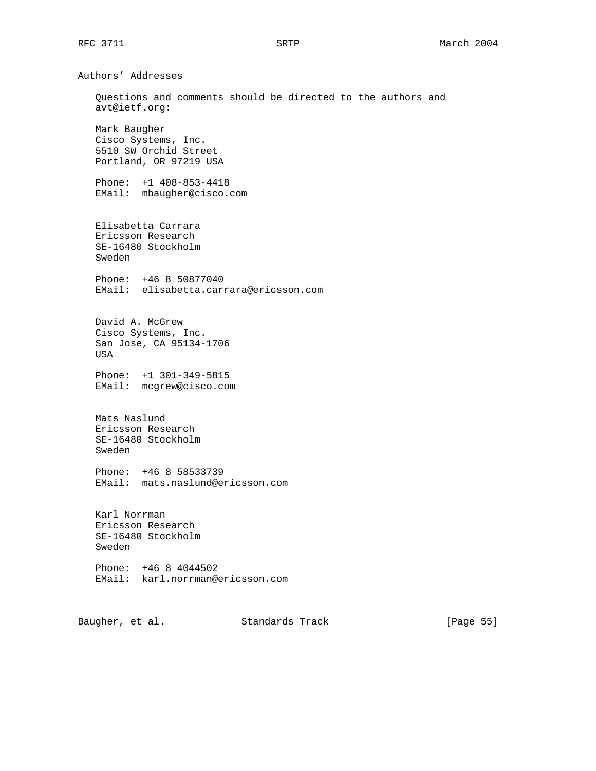Authors' Addresses Questions and comments should be directed to the authors and avt@ietf.org: Mark Baugher Cisco Systems, Inc. 5510 SW Orchid Street Portland, OR 97219 USA Phone: +1 408-853-4418 EMail: mbaugher@cisco.com Elisabetta Carrara Ericsson Research SE-16480 Stockholm Sweden Phone: +46 8 50877040 EMail: elisabetta.carrara@ericsson.com David A. McGrew Cisco Systems, Inc. San Jose, CA 95134-1706 USA Phone: +1 301-349-5815 EMail: mcgrew@cisco.com Mats Naslund Ericsson Research SE-16480 Stockholm Sweden Phone: +46 8 58533739 EMail: mats.naslund@ericsson.com Karl Norrman Ericsson Research SE-16480 Stockholm Sweden Phone: +46 8 4044502 EMail: karl.norrman@ericsson.com

Baugher, et al. Standards Track [Page 55]